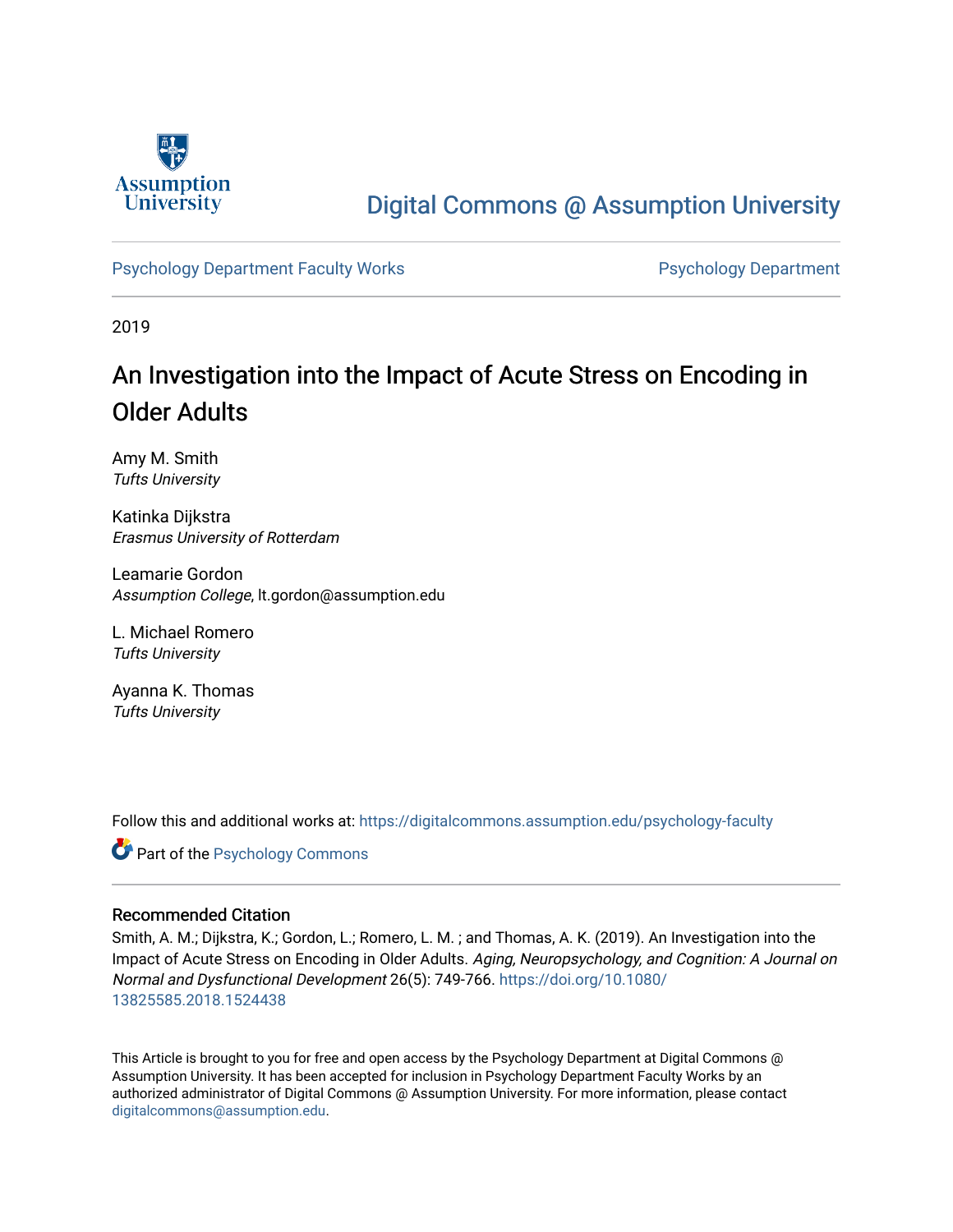

# [Digital Commons @ Assumption University](https://digitalcommons.assumption.edu/)

### [Psychology Department Faculty Works](https://digitalcommons.assumption.edu/psychology-faculty) **Provides Accord Psychology Department**

2019

# An Investigation into the Impact of Acute Stress on Encoding in Older Adults

Amy M. Smith Tufts University

Katinka Dijkstra Erasmus University of Rotterdam

Leamarie Gordon Assumption College, lt.gordon@assumption.edu

L. Michael Romero Tufts University

Ayanna K. Thomas Tufts University

Follow this and additional works at: [https://digitalcommons.assumption.edu/psychology-faculty](https://digitalcommons.assumption.edu/psychology-faculty?utm_source=digitalcommons.assumption.edu%2Fpsychology-faculty%2F11&utm_medium=PDF&utm_campaign=PDFCoverPages) 

**C** Part of the Psychology Commons

#### Recommended Citation

Smith, A. M.; Dijkstra, K.; Gordon, L.; Romero, L. M. ; and Thomas, A. K. (2019). An Investigation into the Impact of Acute Stress on Encoding in Older Adults. Aging, Neuropsychology, and Cognition: A Journal on Normal and Dysfunctional Development 26(5): 749-766. [https://doi.org/10.1080/](https://doi.org/10.1080/13825585.2018.1524438) [13825585.2018.1524438](https://doi.org/10.1080/13825585.2018.1524438) 

This Article is brought to you for free and open access by the Psychology Department at Digital Commons @ Assumption University. It has been accepted for inclusion in Psychology Department Faculty Works by an authorized administrator of Digital Commons @ Assumption University. For more information, please contact [digitalcommons@assumption.edu](mailto:digitalcommons@assumption.edu).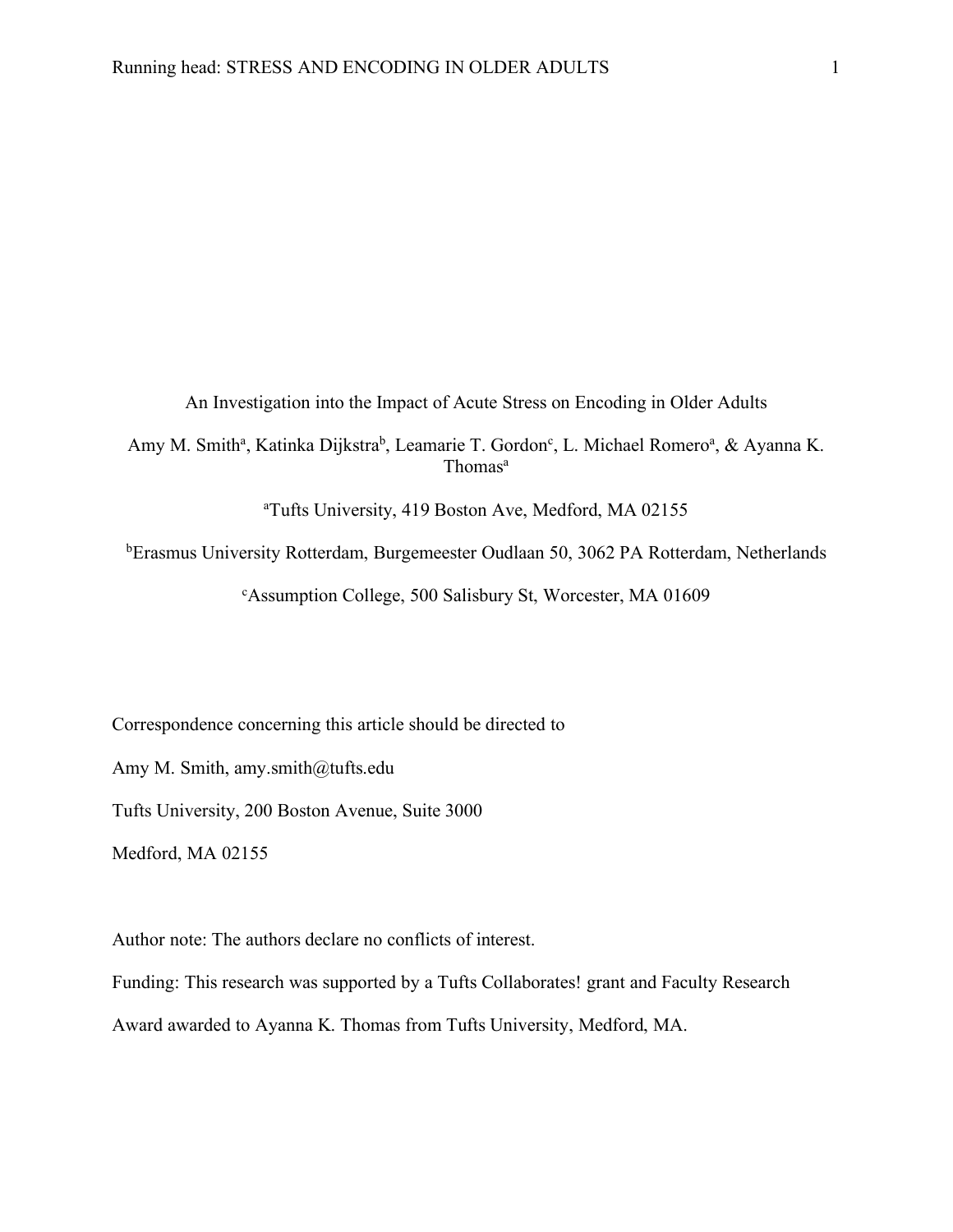An Investigation into the Impact of Acute Stress on Encoding in Older Adults

Amy M. Smith<sup>a</sup>, Katinka Dijkstra<sup>b</sup>, Leamarie T. Gordon<sup>c</sup>, L. Michael Romero<sup>a</sup>, & Ayanna K. Thomas<sup>a</sup>

a Tufts University, 419 Boston Ave, Medford, MA 02155

<sup>b</sup>Erasmus University Rotterdam, Burgemeester Oudlaan 50, 3062 PA Rotterdam, Netherlands

c Assumption College, 500 Salisbury St, Worcester, MA 01609

Correspondence concerning this article should be directed to

Amy M. Smith, amy.smith@tufts.edu

Tufts University, 200 Boston Avenue, Suite 3000

Medford, MA 02155

Author note: The authors declare no conflicts of interest.

Funding: This research was supported by a Tufts Collaborates! grant and Faculty Research

Award awarded to Ayanna K. Thomas from Tufts University, Medford, MA.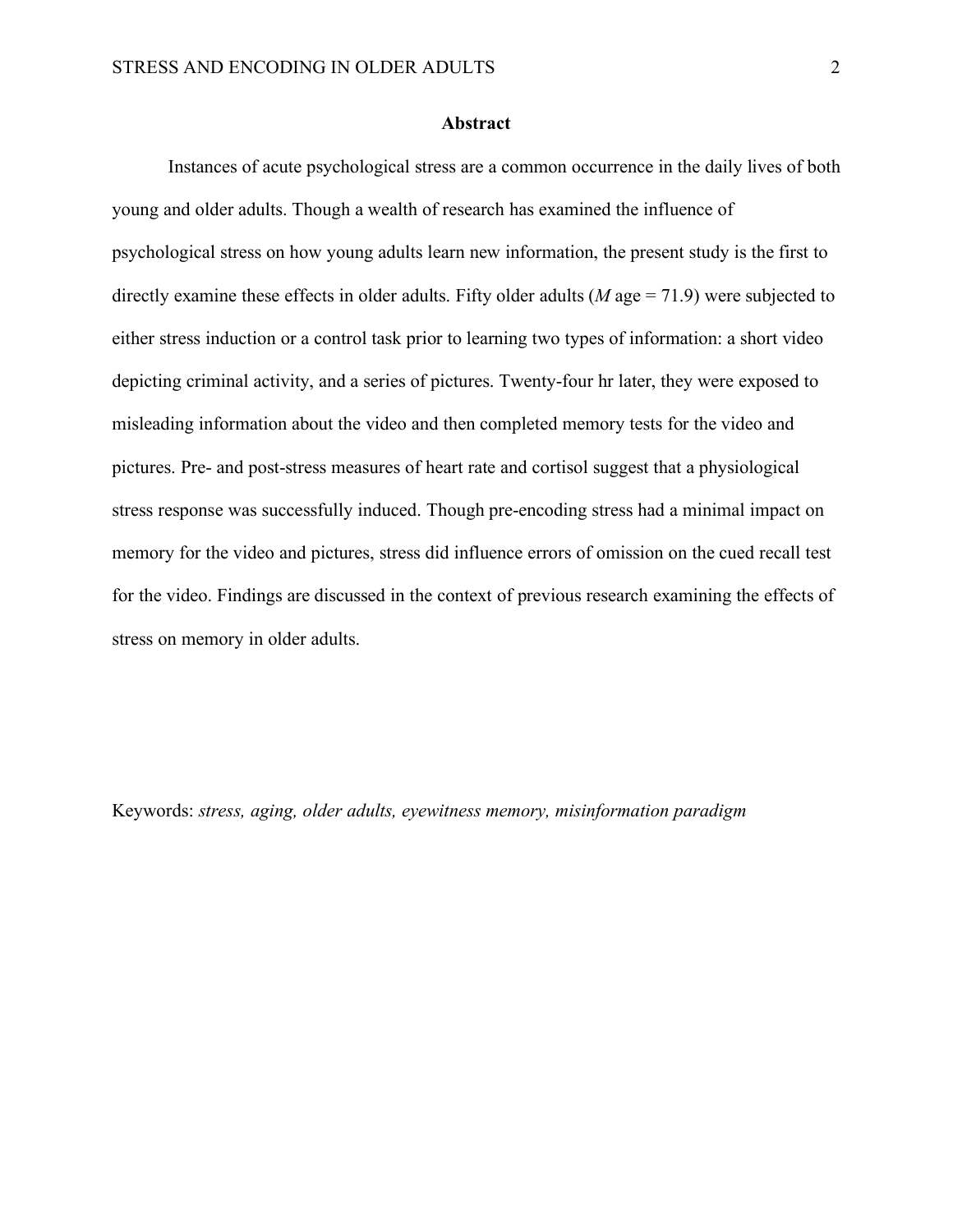#### **Abstract**

Instances of acute psychological stress are a common occurrence in the daily lives of both young and older adults. Though a wealth of research has examined the influence of psychological stress on how young adults learn new information, the present study is the first to directly examine these effects in older adults. Fifty older adults (*M* age = 71.9) were subjected to either stress induction or a control task prior to learning two types of information: a short video depicting criminal activity, and a series of pictures. Twenty-four hr later, they were exposed to misleading information about the video and then completed memory tests for the video and pictures. Pre- and post-stress measures of heart rate and cortisol suggest that a physiological stress response was successfully induced. Though pre-encoding stress had a minimal impact on memory for the video and pictures, stress did influence errors of omission on the cued recall test for the video. Findings are discussed in the context of previous research examining the effects of stress on memory in older adults.

Keywords: *stress, aging, older adults, eyewitness memory, misinformation paradigm*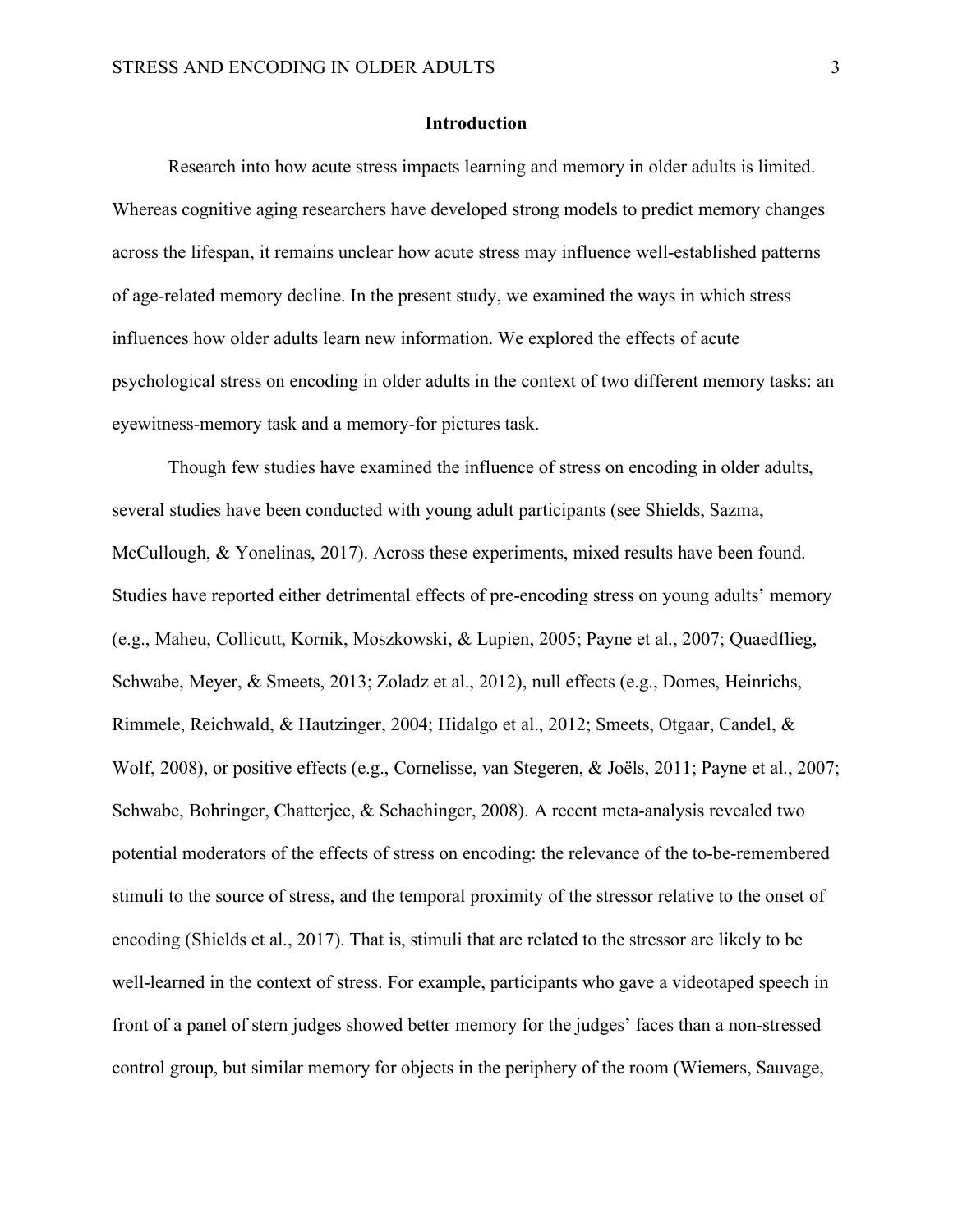#### **Introduction**

Research into how acute stress impacts learning and memory in older adults is limited. Whereas cognitive aging researchers have developed strong models to predict memory changes across the lifespan, it remains unclear how acute stress may influence well-established patterns of age-related memory decline. In the present study, we examined the ways in which stress influences how older adults learn new information. We explored the effects of acute psychological stress on encoding in older adults in the context of two different memory tasks: an eyewitness-memory task and a memory-for pictures task.

Though few studies have examined the influence of stress on encoding in older adults, several studies have been conducted with young adult participants (see Shields, Sazma, McCullough, & Yonelinas, 2017). Across these experiments, mixed results have been found. Studies have reported either detrimental effects of pre-encoding stress on young adults' memory (e.g., Maheu, Collicutt, Kornik, Moszkowski, & Lupien, 2005; Payne et al., 2007; Quaedflieg, Schwabe, Meyer, & Smeets, 2013; Zoladz et al., 2012), null effects (e.g., Domes, Heinrichs, Rimmele, Reichwald, & Hautzinger, 2004; Hidalgo et al., 2012; Smeets, Otgaar, Candel, & Wolf, 2008), or positive effects (e.g., Cornelisse, van Stegeren, & Joëls, 2011; Payne et al., 2007; Schwabe, Bohringer, Chatterjee, & Schachinger, 2008). A recent meta-analysis revealed two potential moderators of the effects of stress on encoding: the relevance of the to-be-remembered stimuli to the source of stress, and the temporal proximity of the stressor relative to the onset of encoding (Shields et al., 2017). That is, stimuli that are related to the stressor are likely to be well-learned in the context of stress. For example, participants who gave a videotaped speech in front of a panel of stern judges showed better memory for the judges' faces than a non-stressed control group, but similar memory for objects in the periphery of the room (Wiemers, Sauvage,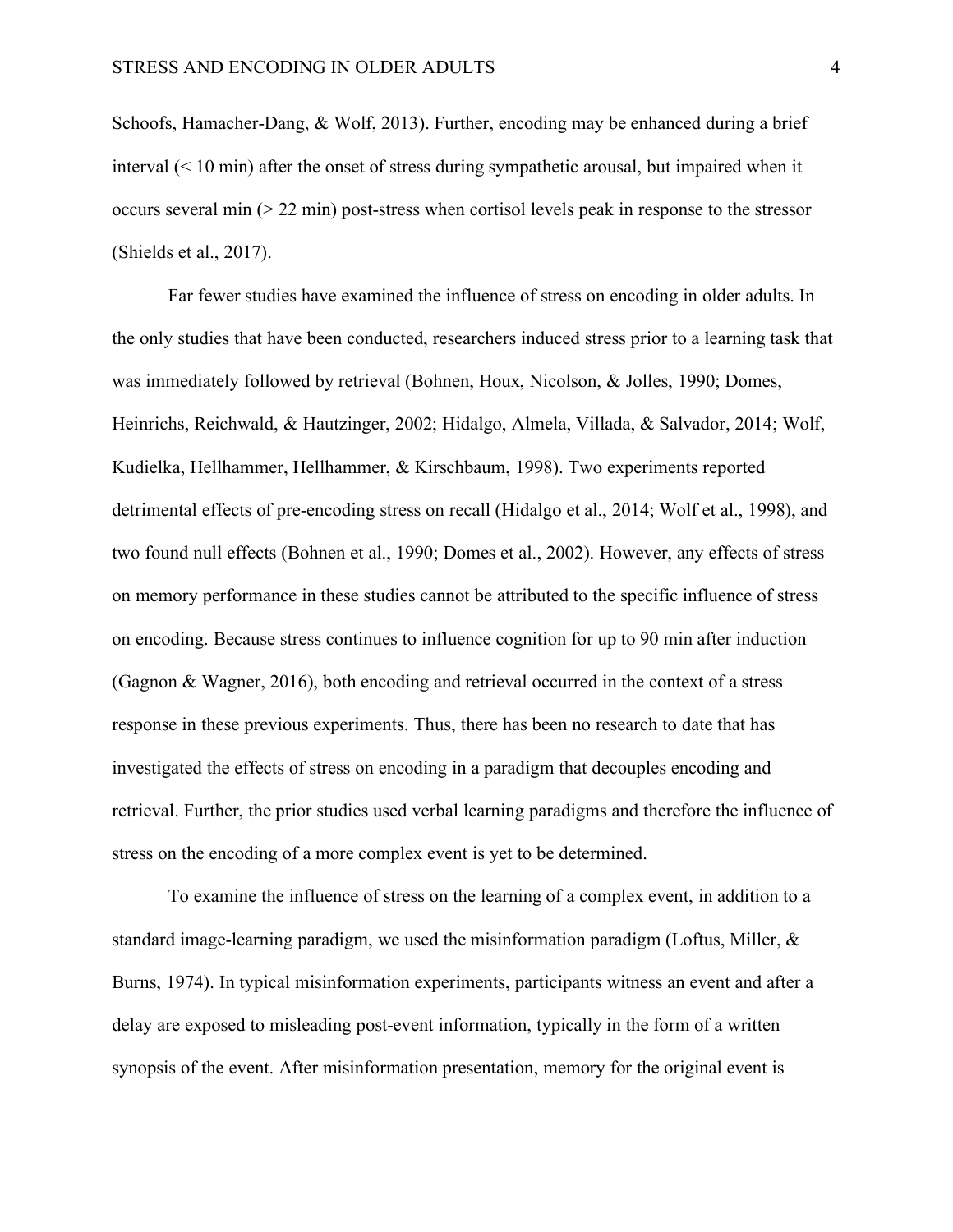Schoofs, Hamacher-Dang, & Wolf, 2013). Further, encoding may be enhanced during a brief interval (< 10 min) after the onset of stress during sympathetic arousal, but impaired when it occurs several min  $(> 22 \text{ min})$  post-stress when cortisol levels peak in response to the stressor (Shields et al., 2017).

Far fewer studies have examined the influence of stress on encoding in older adults. In the only studies that have been conducted, researchers induced stress prior to a learning task that was immediately followed by retrieval (Bohnen, Houx, Nicolson, & Jolles, 1990; Domes, Heinrichs, Reichwald, & Hautzinger, 2002; Hidalgo, Almela, Villada, & Salvador, 2014; Wolf, Kudielka, Hellhammer, Hellhammer, & Kirschbaum, 1998). Two experiments reported detrimental effects of pre-encoding stress on recall (Hidalgo et al., 2014; Wolf et al., 1998), and two found null effects (Bohnen et al., 1990; Domes et al., 2002). However, any effects of stress on memory performance in these studies cannot be attributed to the specific influence of stress on encoding. Because stress continues to influence cognition for up to 90 min after induction (Gagnon & Wagner, 2016), both encoding and retrieval occurred in the context of a stress response in these previous experiments. Thus, there has been no research to date that has investigated the effects of stress on encoding in a paradigm that decouples encoding and retrieval. Further, the prior studies used verbal learning paradigms and therefore the influence of stress on the encoding of a more complex event is yet to be determined.

To examine the influence of stress on the learning of a complex event, in addition to a standard image-learning paradigm, we used the misinformation paradigm (Loftus, Miller, & Burns, 1974). In typical misinformation experiments, participants witness an event and after a delay are exposed to misleading post-event information, typically in the form of a written synopsis of the event. After misinformation presentation, memory for the original event is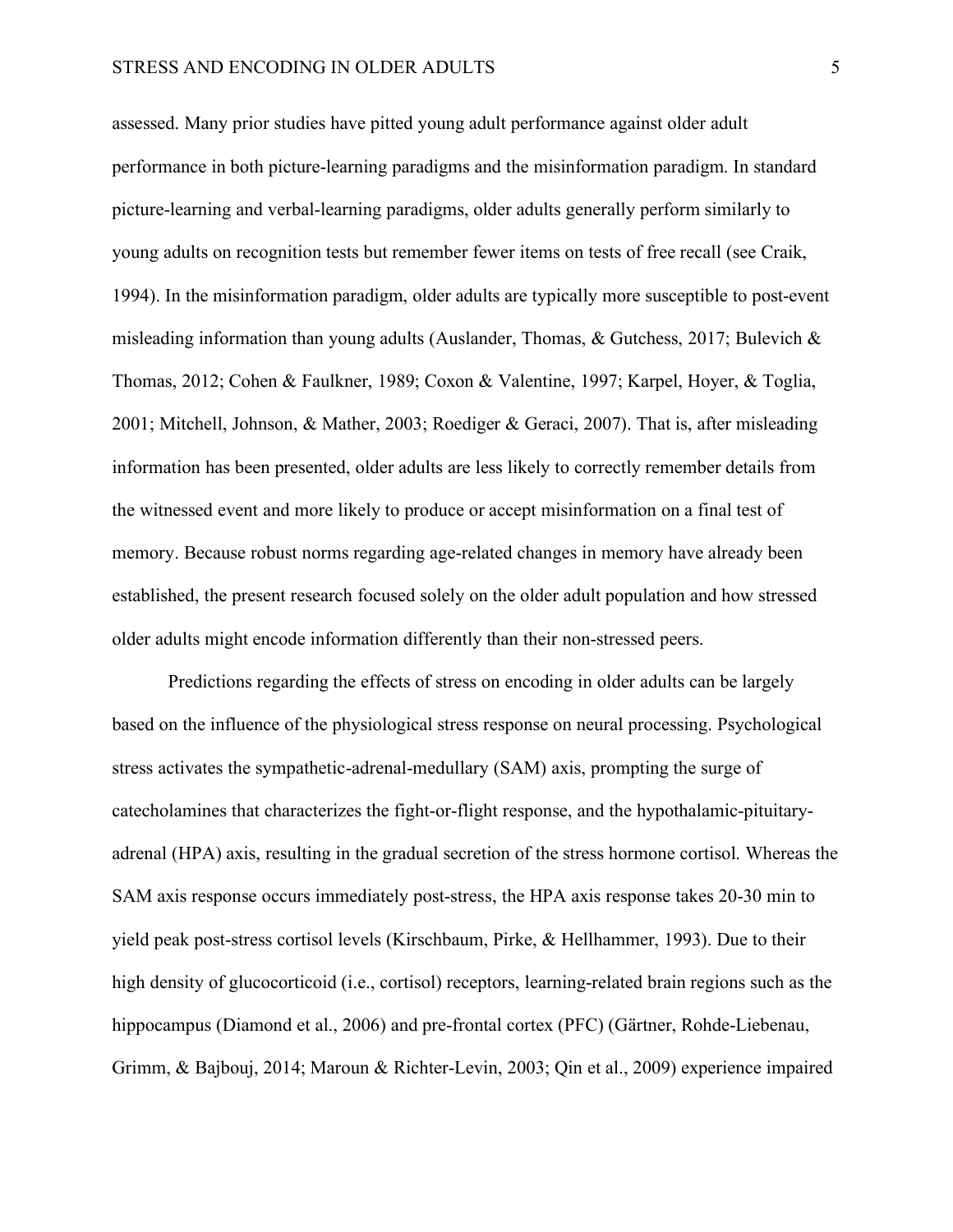#### STRESS AND ENCODING IN OLDER ADULTS 5

assessed. Many prior studies have pitted young adult performance against older adult performance in both picture-learning paradigms and the misinformation paradigm. In standard picture-learning and verbal-learning paradigms, older adults generally perform similarly to young adults on recognition tests but remember fewer items on tests of free recall (see Craik, 1994). In the misinformation paradigm, older adults are typically more susceptible to post-event misleading information than young adults (Auslander, Thomas, & Gutchess, 2017; Bulevich & Thomas, 2012; Cohen & Faulkner, 1989; Coxon & Valentine, 1997; Karpel, Hoyer, & Toglia, 2001; Mitchell, Johnson, & Mather, 2003; Roediger & Geraci, 2007). That is, after misleading information has been presented, older adults are less likely to correctly remember details from the witnessed event and more likely to produce or accept misinformation on a final test of memory. Because robust norms regarding age-related changes in memory have already been established, the present research focused solely on the older adult population and how stressed older adults might encode information differently than their non-stressed peers.

Predictions regarding the effects of stress on encoding in older adults can be largely based on the influence of the physiological stress response on neural processing. Psychological stress activates the sympathetic-adrenal-medullary (SAM) axis, prompting the surge of catecholamines that characterizes the fight-or-flight response, and the hypothalamic-pituitaryadrenal (HPA) axis, resulting in the gradual secretion of the stress hormone cortisol. Whereas the SAM axis response occurs immediately post-stress, the HPA axis response takes 20-30 min to yield peak post-stress cortisol levels (Kirschbaum, Pirke, & Hellhammer, 1993). Due to their high density of glucocorticoid (i.e., cortisol) receptors, learning-related brain regions such as the hippocampus (Diamond et al., 2006) and pre-frontal cortex (PFC) (Gärtner, Rohde-Liebenau, Grimm, & Bajbouj, 2014; Maroun & Richter-Levin, 2003; Qin et al., 2009) experience impaired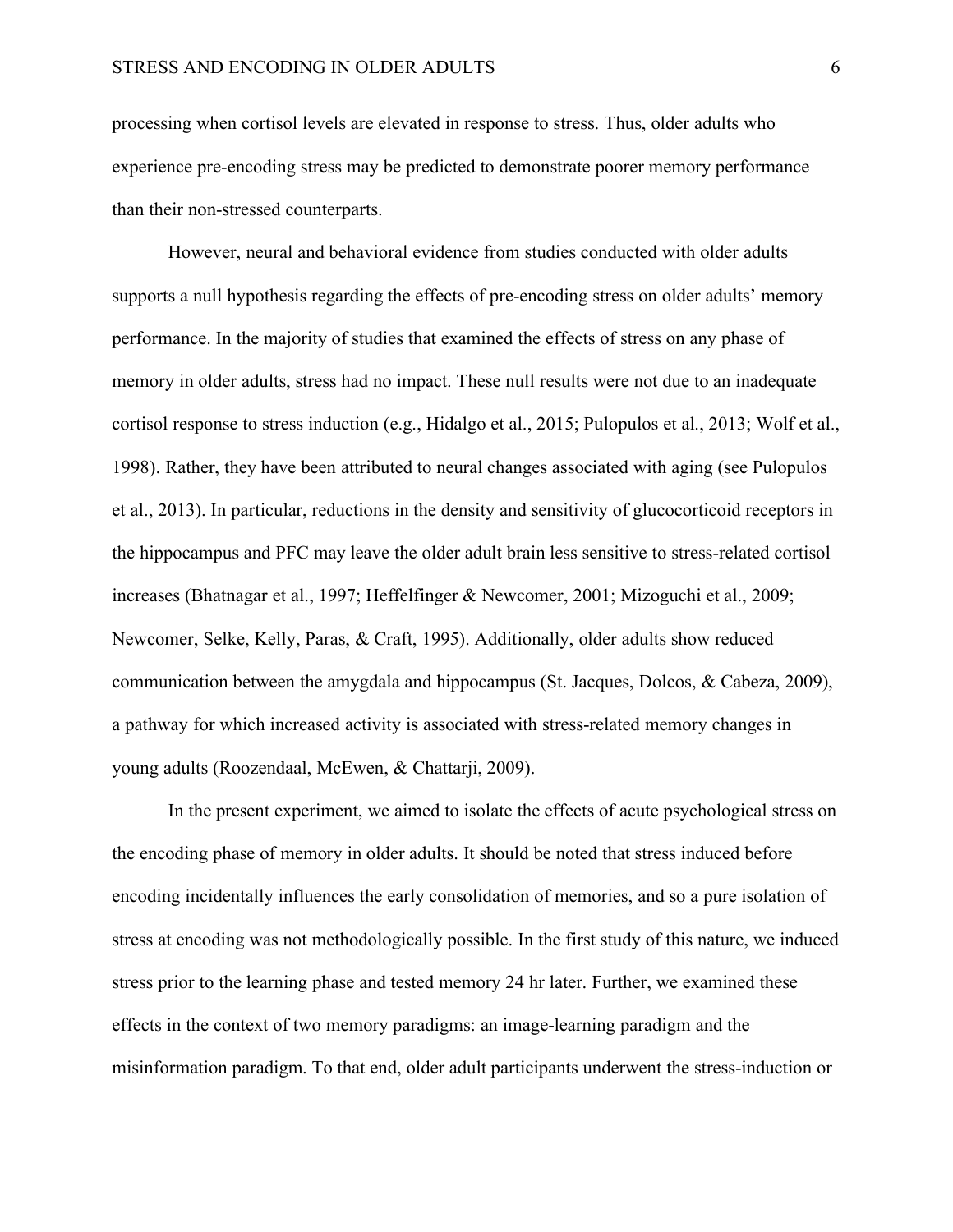processing when cortisol levels are elevated in response to stress. Thus, older adults who experience pre-encoding stress may be predicted to demonstrate poorer memory performance than their non-stressed counterparts.

However, neural and behavioral evidence from studies conducted with older adults supports a null hypothesis regarding the effects of pre-encoding stress on older adults' memory performance. In the majority of studies that examined the effects of stress on any phase of memory in older adults, stress had no impact. These null results were not due to an inadequate cortisol response to stress induction (e.g., Hidalgo et al., 2015; Pulopulos et al., 2013; Wolf et al., 1998). Rather, they have been attributed to neural changes associated with aging (see Pulopulos et al., 2013). In particular, reductions in the density and sensitivity of glucocorticoid receptors in the hippocampus and PFC may leave the older adult brain less sensitive to stress-related cortisol increases (Bhatnagar et al., 1997; Heffelfinger & Newcomer, 2001; Mizoguchi et al., 2009; Newcomer, Selke, Kelly, Paras, & Craft, 1995). Additionally, older adults show reduced communication between the amygdala and hippocampus (St. Jacques, Dolcos, & Cabeza, 2009), a pathway for which increased activity is associated with stress-related memory changes in young adults (Roozendaal, McEwen, & Chattarji, 2009).

In the present experiment, we aimed to isolate the effects of acute psychological stress on the encoding phase of memory in older adults. It should be noted that stress induced before encoding incidentally influences the early consolidation of memories, and so a pure isolation of stress at encoding was not methodologically possible. In the first study of this nature, we induced stress prior to the learning phase and tested memory 24 hr later. Further, we examined these effects in the context of two memory paradigms: an image-learning paradigm and the misinformation paradigm. To that end, older adult participants underwent the stress-induction or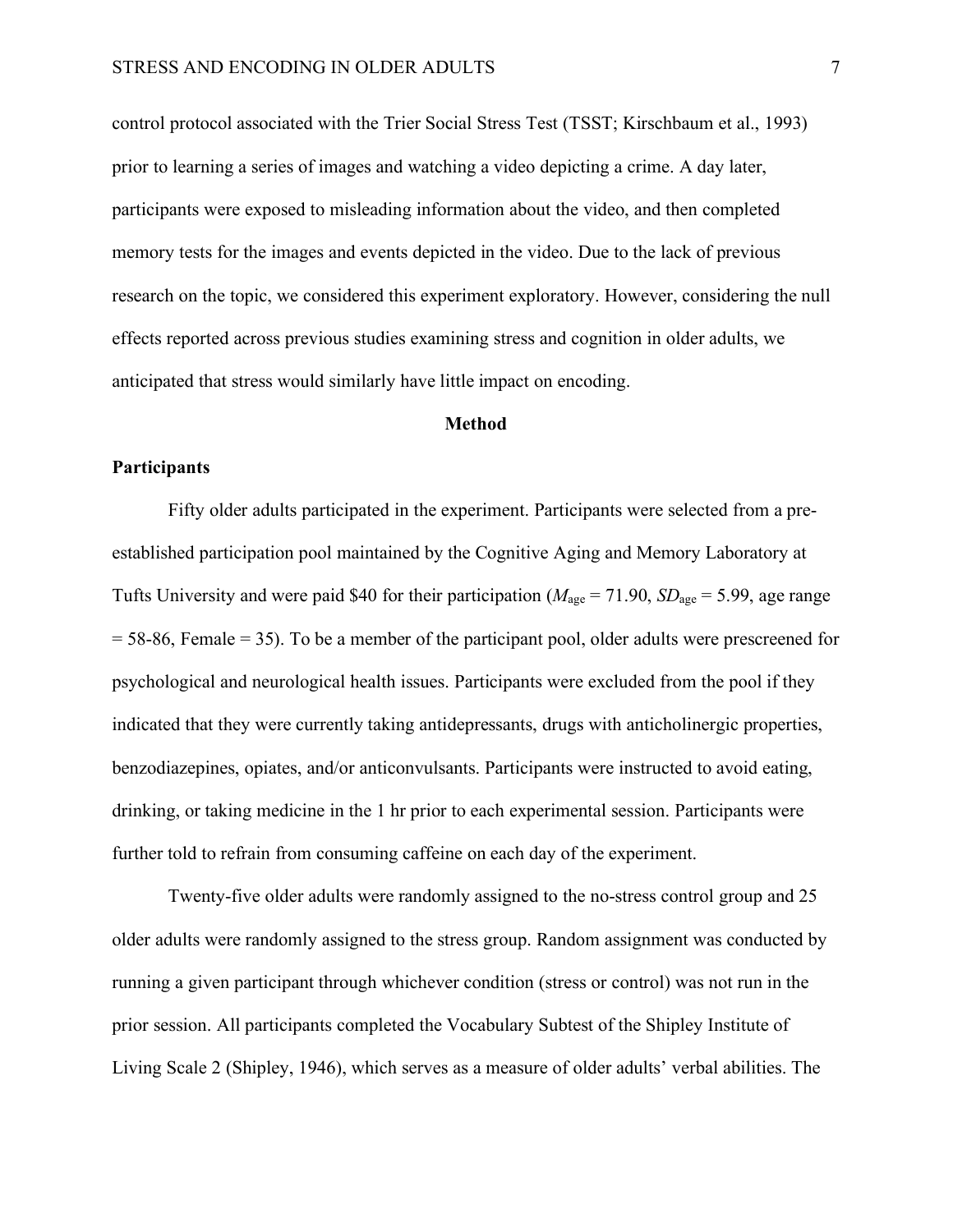control protocol associated with the Trier Social Stress Test (TSST; Kirschbaum et al., 1993) prior to learning a series of images and watching a video depicting a crime. A day later, participants were exposed to misleading information about the video, and then completed memory tests for the images and events depicted in the video. Due to the lack of previous research on the topic, we considered this experiment exploratory. However, considering the null effects reported across previous studies examining stress and cognition in older adults, we anticipated that stress would similarly have little impact on encoding.

#### **Method**

#### **Participants**

Fifty older adults participated in the experiment. Participants were selected from a preestablished participation pool maintained by the Cognitive Aging and Memory Laboratory at Tufts University and were paid \$40 for their participation ( $M_{\text{age}} = 71.90$ ,  $SD_{\text{age}} = 5.99$ , age range = 58-86, Female = 35). To be a member of the participant pool, older adults were prescreened for psychological and neurological health issues. Participants were excluded from the pool if they indicated that they were currently taking antidepressants, drugs with anticholinergic properties, benzodiazepines, opiates, and/or anticonvulsants. Participants were instructed to avoid eating, drinking, or taking medicine in the 1 hr prior to each experimental session. Participants were further told to refrain from consuming caffeine on each day of the experiment.

Twenty-five older adults were randomly assigned to the no-stress control group and 25 older adults were randomly assigned to the stress group. Random assignment was conducted by running a given participant through whichever condition (stress or control) was not run in the prior session. All participants completed the Vocabulary Subtest of the Shipley Institute of Living Scale 2 (Shipley, 1946), which serves as a measure of older adults' verbal abilities. The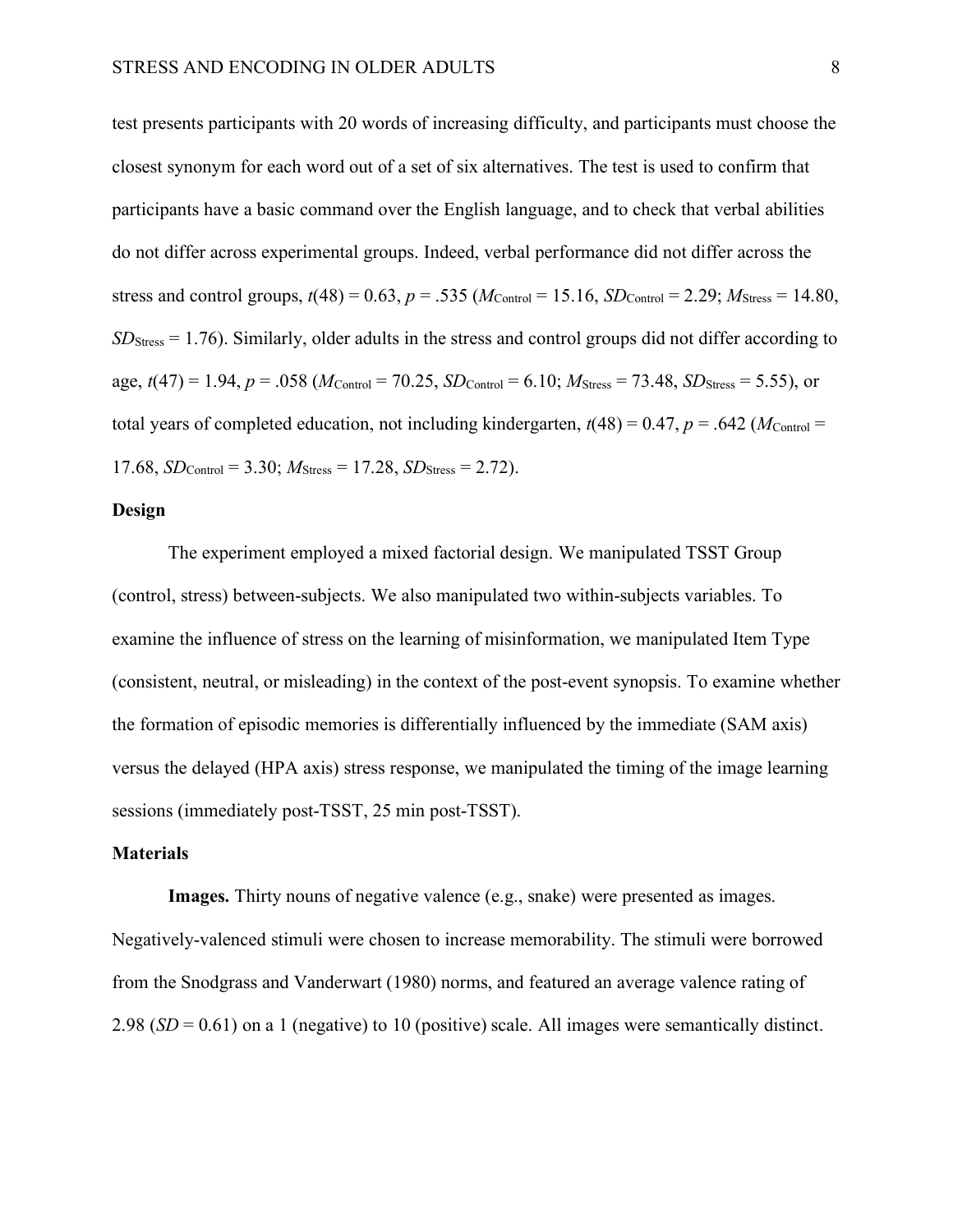test presents participants with 20 words of increasing difficulty, and participants must choose the closest synonym for each word out of a set of six alternatives. The test is used to confirm that participants have a basic command over the English language, and to check that verbal abilities do not differ across experimental groups. Indeed, verbal performance did not differ across the stress and control groups,  $t(48) = 0.63$ ,  $p = .535$  ( $M_{\text{Control}} = 15.16$ ,  $SD_{\text{Control}} = 2.29$ ;  $M_{\text{Stress}} = 14.80$ , *SD*<sub>Stress</sub> = 1.76). Similarly, older adults in the stress and control groups did not differ according to age,  $t(47) = 1.94$ ,  $p = .058$  ( $M_{\text{Control}} = 70.25$ ,  $SD_{\text{Control}} = 6.10$ ;  $M_{\text{Stress}} = 73.48$ ,  $SD_{\text{Stress}} = 5.55$ ), or total years of completed education, not including kindergarten,  $t(48) = 0.47$ ,  $p = .642$  ( $M_{\text{Control}} =$ 17.68,  $SD_{Control} = 3.30$ ;  $M_{Stress} = 17.28$ ,  $SD_{Stress} = 2.72$ ).

#### **Design**

The experiment employed a mixed factorial design. We manipulated TSST Group (control, stress) between-subjects. We also manipulated two within-subjects variables. To examine the influence of stress on the learning of misinformation, we manipulated Item Type (consistent, neutral, or misleading) in the context of the post-event synopsis. To examine whether the formation of episodic memories is differentially influenced by the immediate (SAM axis) versus the delayed (HPA axis) stress response, we manipulated the timing of the image learning sessions (immediately post-TSST, 25 min post-TSST).

#### **Materials**

**Images.** Thirty nouns of negative valence (e.g., snake) were presented as images. Negatively-valenced stimuli were chosen to increase memorability. The stimuli were borrowed from the Snodgrass and Vanderwart (1980) norms, and featured an average valence rating of 2.98 (*SD* = 0.61) on a 1 (negative) to 10 (positive) scale. All images were semantically distinct.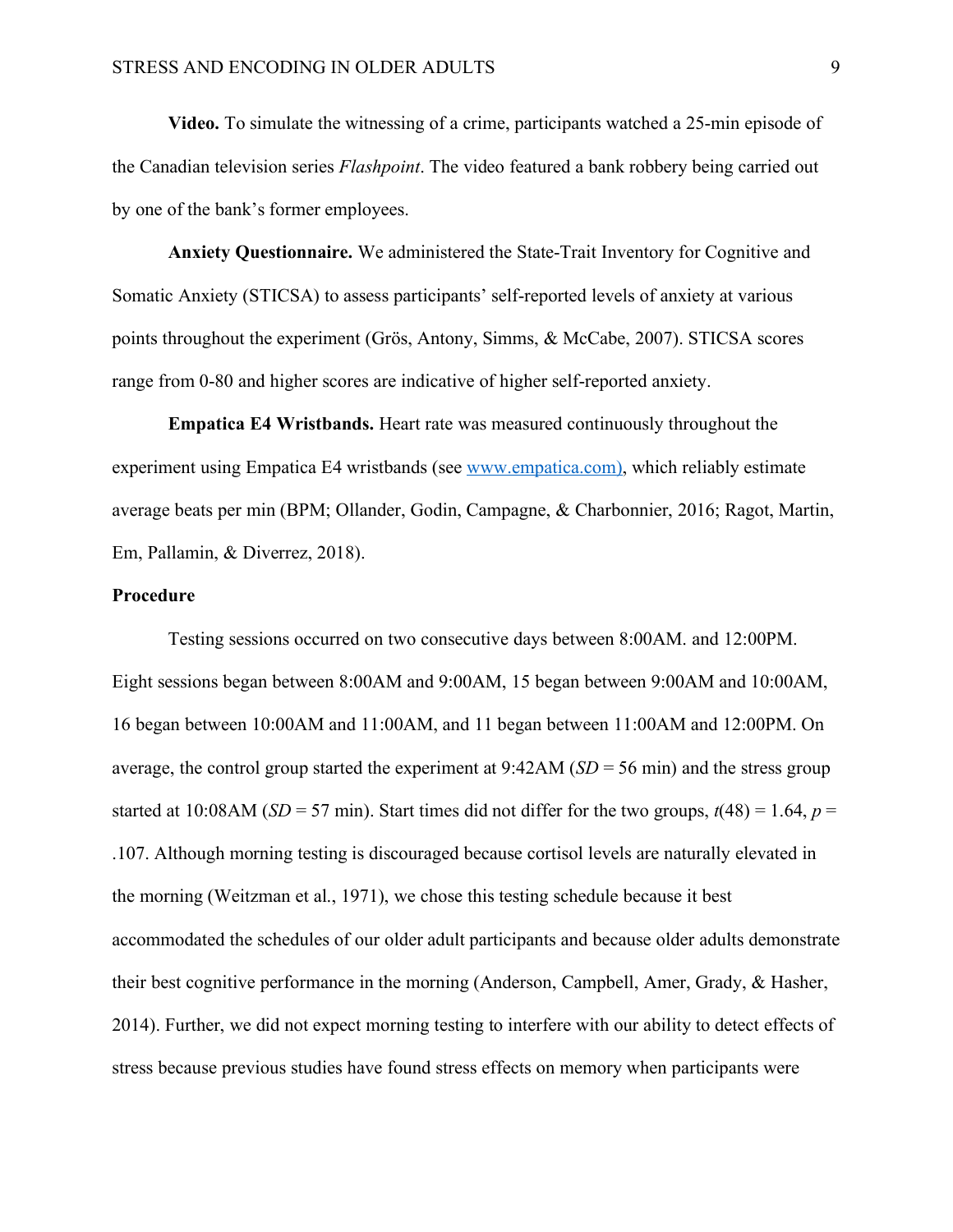**Video.** To simulate the witnessing of a crime, participants watched a 25-min episode of the Canadian television series *Flashpoint*. The video featured a bank robbery being carried out by one of the bank's former employees.

**Anxiety Questionnaire.** We administered the State-Trait Inventory for Cognitive and Somatic Anxiety (STICSA) to assess participants' self-reported levels of anxiety at various points throughout the experiment (Grös, Antony, Simms, & McCabe, 2007). STICSA scores range from 0-80 and higher scores are indicative of higher self-reported anxiety.

**Empatica E4 Wristbands.** Heart rate was measured continuously throughout the experiment using Empatica E4 wristbands (see www.empatica.com), which reliably estimate average beats per min (BPM; Ollander, Godin, Campagne, & Charbonnier, 2016; Ragot, Martin, Em, Pallamin, & Diverrez, 2018).

#### **Procedure**

Testing sessions occurred on two consecutive days between 8:00AM. and 12:00PM. Eight sessions began between 8:00AM and 9:00AM, 15 began between 9:00AM and 10:00AM, 16 began between 10:00AM and 11:00AM, and 11 began between 11:00AM and 12:00PM. On average, the control group started the experiment at 9:42AM (*SD* = 56 min) and the stress group started at 10:08AM ( $SD = 57$  min). Start times did not differ for the two groups,  $t(48) = 1.64$ ,  $p =$ .107. Although morning testing is discouraged because cortisol levels are naturally elevated in the morning (Weitzman et al., 1971), we chose this testing schedule because it best accommodated the schedules of our older adult participants and because older adults demonstrate their best cognitive performance in the morning (Anderson, Campbell, Amer, Grady, & Hasher, 2014). Further, we did not expect morning testing to interfere with our ability to detect effects of stress because previous studies have found stress effects on memory when participants were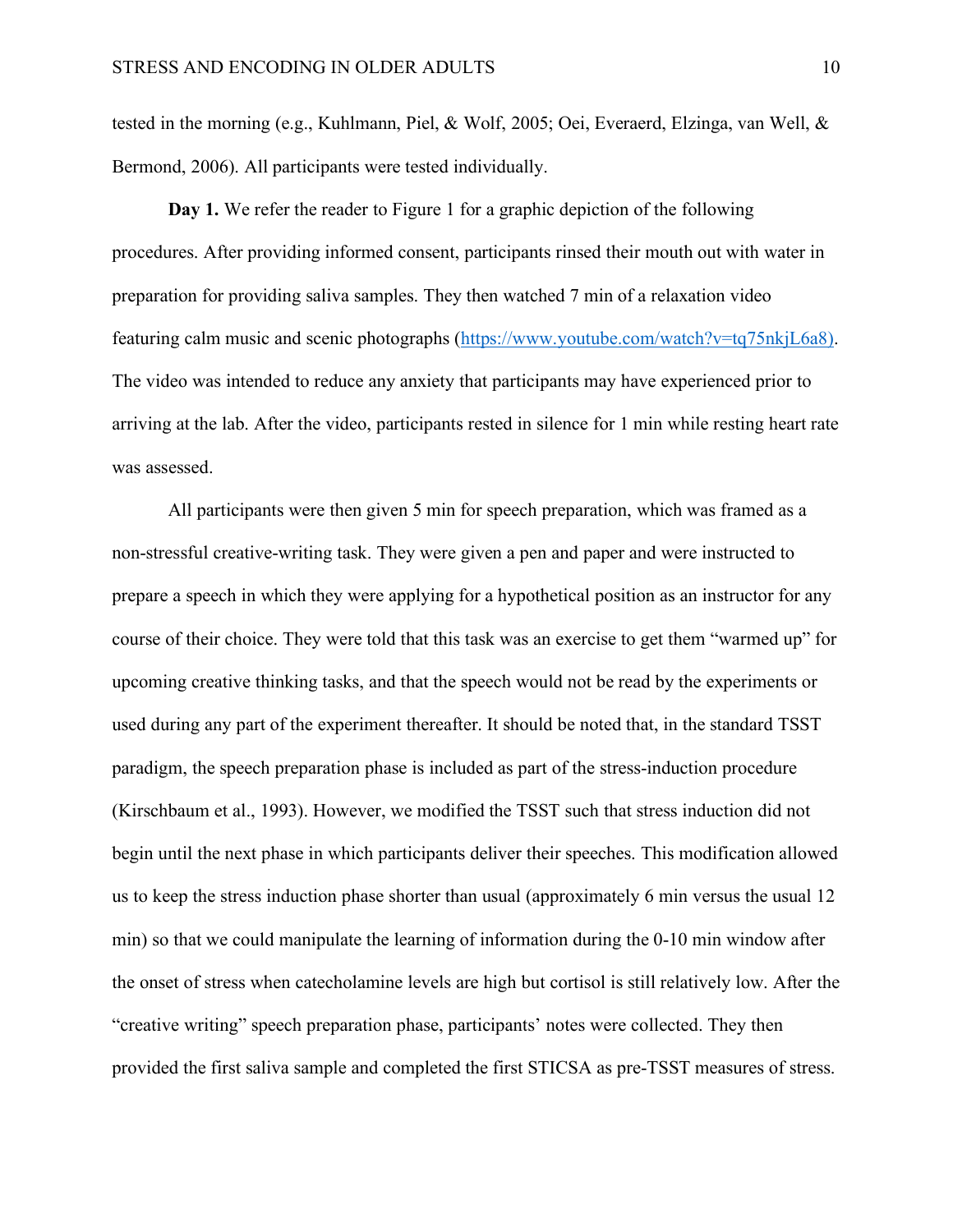tested in the morning (e.g., Kuhlmann, Piel, & Wolf, 2005; Oei, Everaerd, Elzinga, van Well, & Bermond, 2006). All participants were tested individually.

**Day 1.** We refer the reader to Figure 1 for a graphic depiction of the following procedures. After providing informed consent, participants rinsed their mouth out with water in preparation for providing saliva samples. They then watched 7 min of a relaxation video featuring calm music and scenic photographs (https://www.youtube.com/watch?v=tq75nkjL6a8). The video was intended to reduce any anxiety that participants may have experienced prior to arriving at the lab. After the video, participants rested in silence for 1 min while resting heart rate was assessed.

All participants were then given 5 min for speech preparation, which was framed as a non-stressful creative-writing task. They were given a pen and paper and were instructed to prepare a speech in which they were applying for a hypothetical position as an instructor for any course of their choice. They were told that this task was an exercise to get them "warmed up" for upcoming creative thinking tasks, and that the speech would not be read by the experiments or used during any part of the experiment thereafter. It should be noted that, in the standard TSST paradigm, the speech preparation phase is included as part of the stress-induction procedure (Kirschbaum et al., 1993). However, we modified the TSST such that stress induction did not begin until the next phase in which participants deliver their speeches. This modification allowed us to keep the stress induction phase shorter than usual (approximately 6 min versus the usual 12 min) so that we could manipulate the learning of information during the 0-10 min window after the onset of stress when catecholamine levels are high but cortisol is still relatively low. After the "creative writing" speech preparation phase, participants' notes were collected. They then provided the first saliva sample and completed the first STICSA as pre-TSST measures of stress.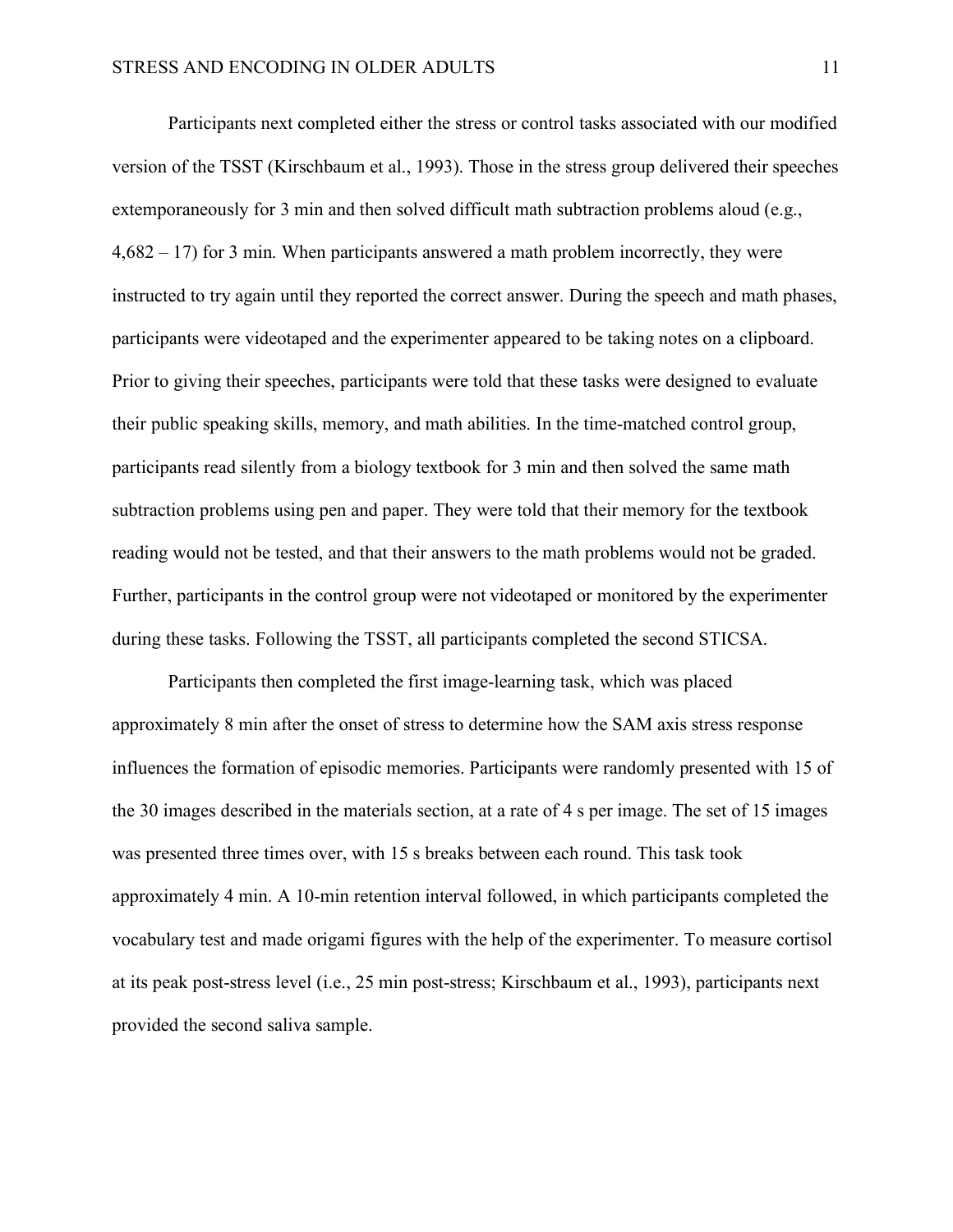Participants next completed either the stress or control tasks associated with our modified version of the TSST (Kirschbaum et al., 1993). Those in the stress group delivered their speeches extemporaneously for 3 min and then solved difficult math subtraction problems aloud (e.g.,  $4,682 - 17$ ) for 3 min. When participants answered a math problem incorrectly, they were instructed to try again until they reported the correct answer. During the speech and math phases, participants were videotaped and the experimenter appeared to be taking notes on a clipboard. Prior to giving their speeches, participants were told that these tasks were designed to evaluate their public speaking skills, memory, and math abilities. In the time-matched control group, participants read silently from a biology textbook for 3 min and then solved the same math subtraction problems using pen and paper. They were told that their memory for the textbook reading would not be tested, and that their answers to the math problems would not be graded. Further, participants in the control group were not videotaped or monitored by the experimenter during these tasks. Following the TSST, all participants completed the second STICSA.

Participants then completed the first image-learning task, which was placed approximately 8 min after the onset of stress to determine how the SAM axis stress response influences the formation of episodic memories. Participants were randomly presented with 15 of the 30 images described in the materials section, at a rate of 4 s per image. The set of 15 images was presented three times over, with 15 s breaks between each round. This task took approximately 4 min. A 10-min retention interval followed, in which participants completed the vocabulary test and made origami figures with the help of the experimenter. To measure cortisol at its peak post-stress level (i.e., 25 min post-stress; Kirschbaum et al., 1993), participants next provided the second saliva sample.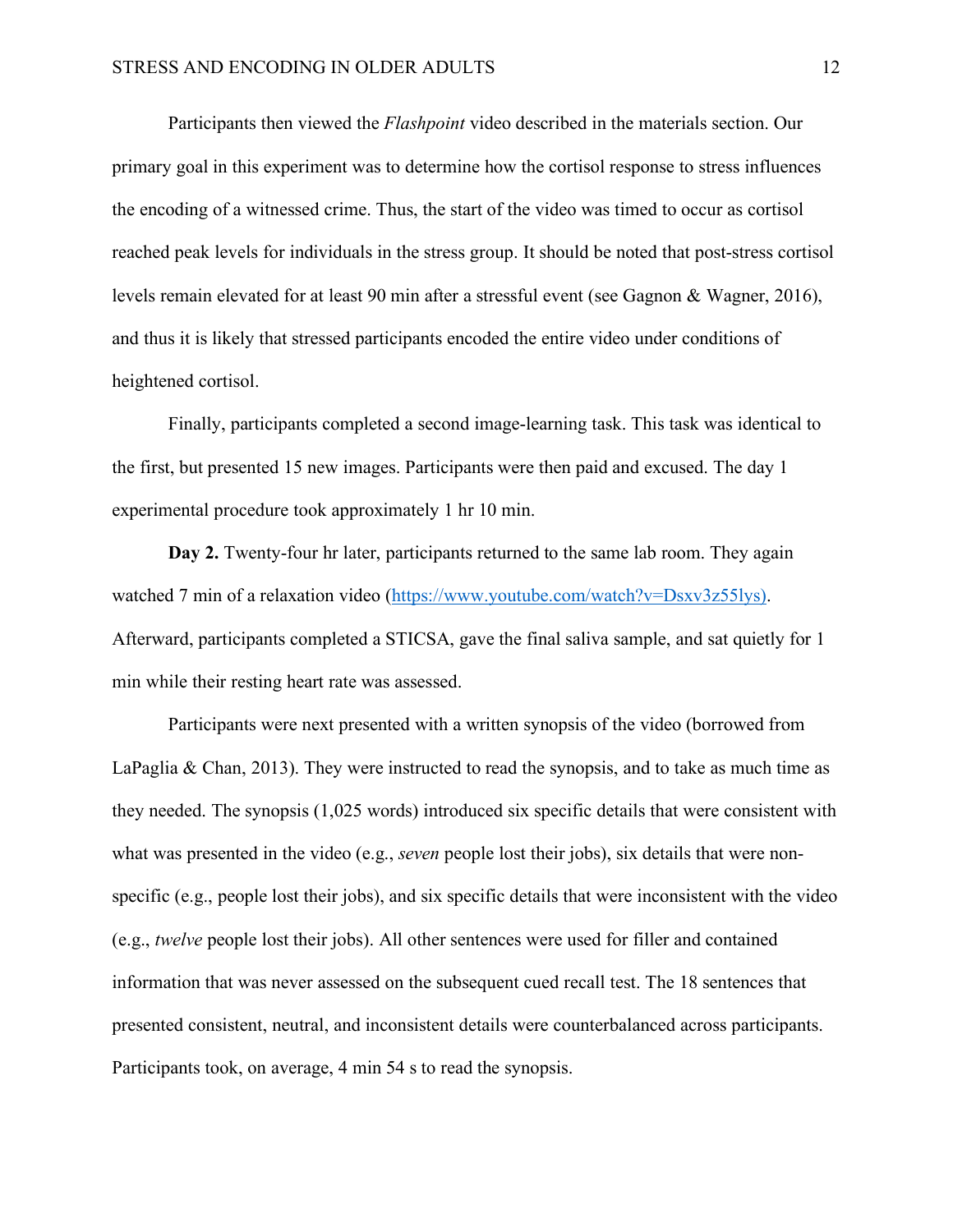Participants then viewed the *Flashpoint* video described in the materials section. Our primary goal in this experiment was to determine how the cortisol response to stress influences the encoding of a witnessed crime. Thus, the start of the video was timed to occur as cortisol reached peak levels for individuals in the stress group. It should be noted that post-stress cortisol levels remain elevated for at least 90 min after a stressful event (see Gagnon & Wagner, 2016), and thus it is likely that stressed participants encoded the entire video under conditions of heightened cortisol.

Finally, participants completed a second image-learning task. This task was identical to the first, but presented 15 new images. Participants were then paid and excused. The day 1 experimental procedure took approximately 1 hr 10 min.

**Day 2.** Twenty-four hr later, participants returned to the same lab room. They again watched 7 min of a relaxation video (https://www.youtube.com/watch?v=Dsxv3z55lys). Afterward, participants completed a STICSA, gave the final saliva sample, and sat quietly for 1 min while their resting heart rate was assessed.

Participants were next presented with a written synopsis of the video (borrowed from LaPaglia  $& Chan, 2013$ . They were instructed to read the synopsis, and to take as much time as they needed. The synopsis (1,025 words) introduced six specific details that were consistent with what was presented in the video (e.g., *seven* people lost their jobs), six details that were nonspecific (e.g., people lost their jobs), and six specific details that were inconsistent with the video (e.g., *twelve* people lost their jobs). All other sentences were used for filler and contained information that was never assessed on the subsequent cued recall test. The 18 sentences that presented consistent, neutral, and inconsistent details were counterbalanced across participants. Participants took, on average, 4 min 54 s to read the synopsis.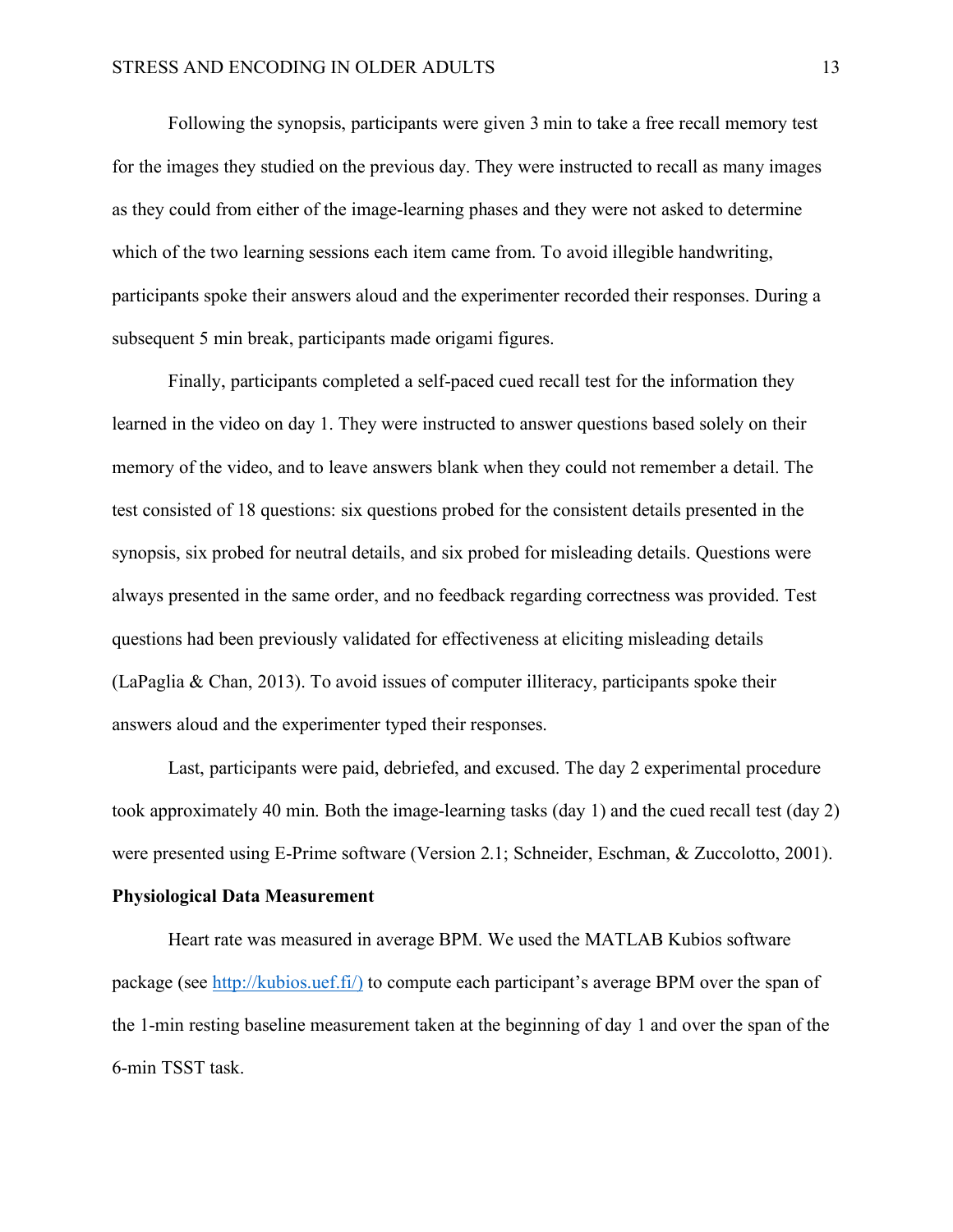Following the synopsis, participants were given 3 min to take a free recall memory test for the images they studied on the previous day. They were instructed to recall as many images as they could from either of the image-learning phases and they were not asked to determine which of the two learning sessions each item came from. To avoid illegible handwriting, participants spoke their answers aloud and the experimenter recorded their responses. During a subsequent 5 min break, participants made origami figures.

Finally, participants completed a self-paced cued recall test for the information they learned in the video on day 1. They were instructed to answer questions based solely on their memory of the video, and to leave answers blank when they could not remember a detail. The test consisted of 18 questions: six questions probed for the consistent details presented in the synopsis, six probed for neutral details, and six probed for misleading details. Questions were always presented in the same order, and no feedback regarding correctness was provided. Test questions had been previously validated for effectiveness at eliciting misleading details (LaPaglia & Chan, 2013). To avoid issues of computer illiteracy, participants spoke their answers aloud and the experimenter typed their responses.

Last, participants were paid, debriefed, and excused. The day 2 experimental procedure took approximately 40 min. Both the image-learning tasks (day 1) and the cued recall test (day 2) were presented using E-Prime software (Version 2.1; Schneider, Eschman, & Zuccolotto, 2001).

#### **Physiological Data Measurement**

Heart rate was measured in average BPM. We used the MATLAB Kubios software package (see http://kubios.uef.fi/) to compute each participant's average BPM over the span of the 1-min resting baseline measurement taken at the beginning of day 1 and over the span of the 6-min TSST task.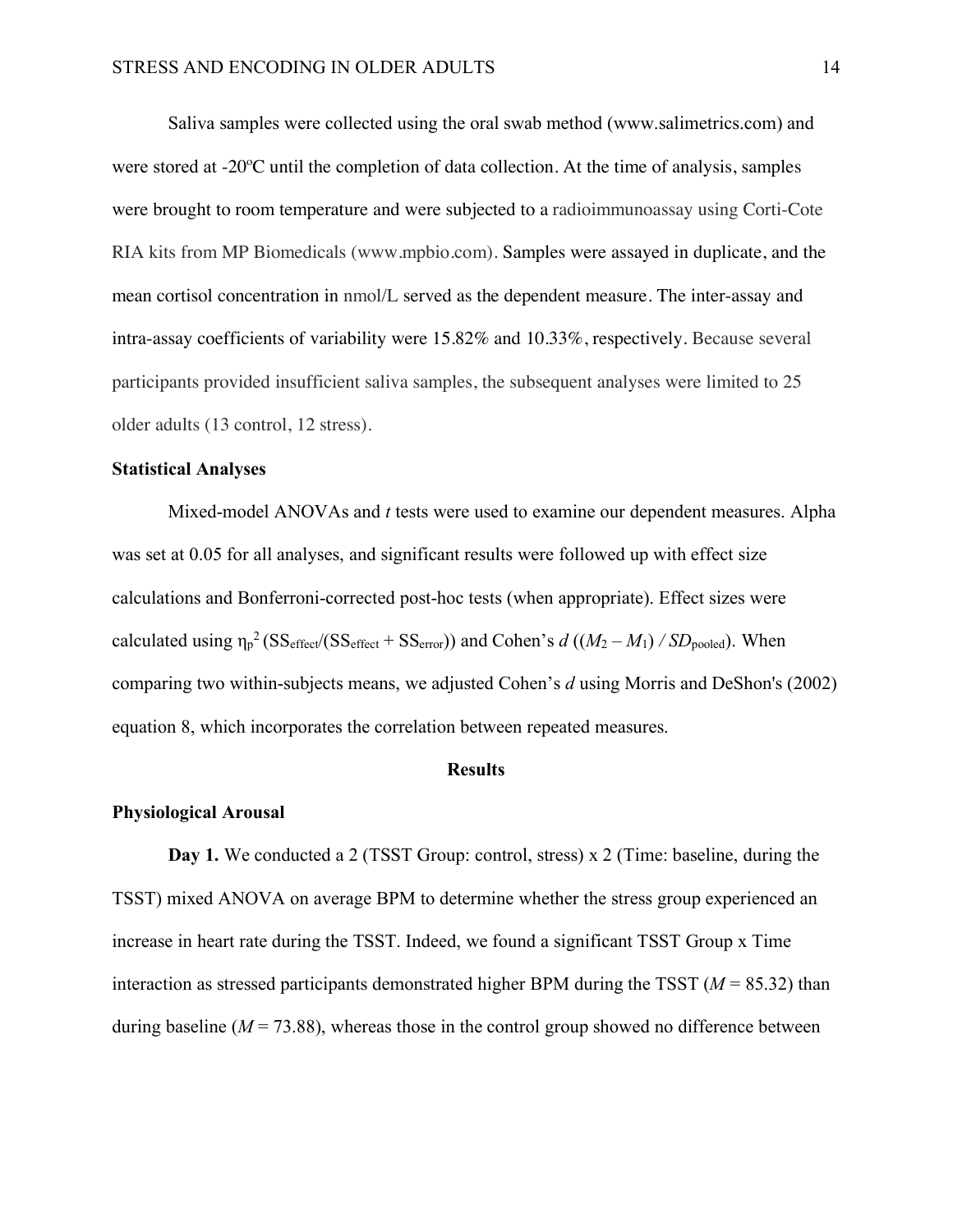Saliva samples were collected using the oral swab method (www.salimetrics.com) and were stored at -20ºC until the completion of data collection. At the time of analysis, samples were brought to room temperature and were subjected to a radioimmunoassay using Corti-Cote RIA kits from MP Biomedicals (www.mpbio.com). Samples were assayed in duplicate, and the mean cortisol concentration in nmol/L served as the dependent measure. The inter-assay and intra-assay coefficients of variability were 15.82% and 10.33%, respectively. Because several participants provided insufficient saliva samples, the subsequent analyses were limited to 25 older adults (13 control, 12 stress).

#### **Statistical Analyses**

Mixed-model ANOVAs and *t* tests were used to examine our dependent measures. Alpha was set at 0.05 for all analyses, and significant results were followed up with effect size calculations and Bonferroni-corrected post-hoc tests (when appropriate). Effect sizes were calculated using  $\eta_p^2$  (SS<sub>effect</sub>/(SS<sub>effect</sub> + SS<sub>error</sub>)) and Cohen's *d* (( $M_2 - M_1$ ) */ SD*<sub>pooled</sub>). When comparing two within-subjects means, we adjusted Cohen's *d* using Morris and DeShon's (2002) equation 8, which incorporates the correlation between repeated measures.

### **Results**

#### **Physiological Arousal**

**Day 1.** We conducted a 2 (TSST Group: control, stress) x 2 (Time: baseline, during the TSST) mixed ANOVA on average BPM to determine whether the stress group experienced an increase in heart rate during the TSST. Indeed, we found a significant TSST Group x Time interaction as stressed participants demonstrated higher BPM during the TSST  $(M = 85.32)$  than during baseline  $(M = 73.88)$ , whereas those in the control group showed no difference between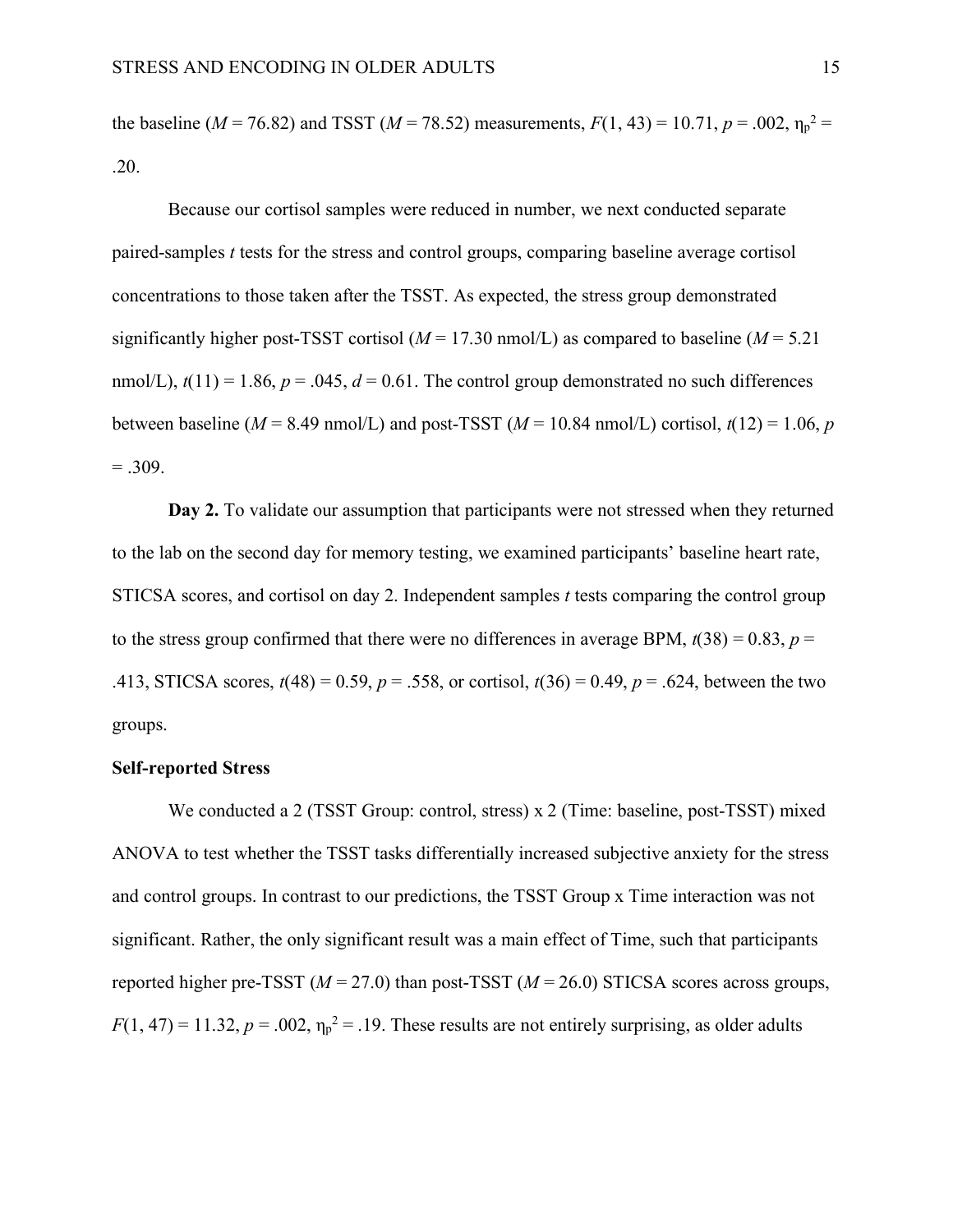the baseline ( $M = 76.82$ ) and TSST ( $M = 78.52$ ) measurements,  $F(1, 43) = 10.71$ ,  $p = .002$ ,  $\eta_p^2 =$ .20.

Because our cortisol samples were reduced in number, we next conducted separate paired-samples *t* tests for the stress and control groups, comparing baseline average cortisol concentrations to those taken after the TSST. As expected, the stress group demonstrated significantly higher post-TSST cortisol ( $M = 17.30$  nmol/L) as compared to baseline ( $M = 5.21$ ) nmol/L),  $t(11) = 1.86$ ,  $p = .045$ ,  $d = 0.61$ . The control group demonstrated no such differences between baseline ( $M = 8.49$  nmol/L) and post-TSST ( $M = 10.84$  nmol/L) cortisol,  $t(12) = 1.06$ , *p*  $=.309.$ 

**Day 2.** To validate our assumption that participants were not stressed when they returned to the lab on the second day for memory testing, we examined participants' baseline heart rate, STICSA scores, and cortisol on day 2. Independent samples *t* tests comparing the control group to the stress group confirmed that there were no differences in average BPM,  $t(38) = 0.83$ ,  $p =$ .413, STICSA scores, *t*(48) = 0.59, *p* = .558, or cortisol, *t*(36) = 0.49, *p* = .624, between the two groups.

#### **Self-reported Stress**

We conducted a 2 (TSST Group: control, stress) x 2 (Time: baseline, post-TSST) mixed ANOVA to test whether the TSST tasks differentially increased subjective anxiety for the stress and control groups. In contrast to our predictions, the TSST Group x Time interaction was not significant. Rather, the only significant result was a main effect of Time, such that participants reported higher pre-TSST ( $M = 27.0$ ) than post-TSST ( $M = 26.0$ ) STICSA scores across groups,  $F(1, 47) = 11.32, p = .002, \eta_p^2 = .19$ . These results are not entirely surprising, as older adults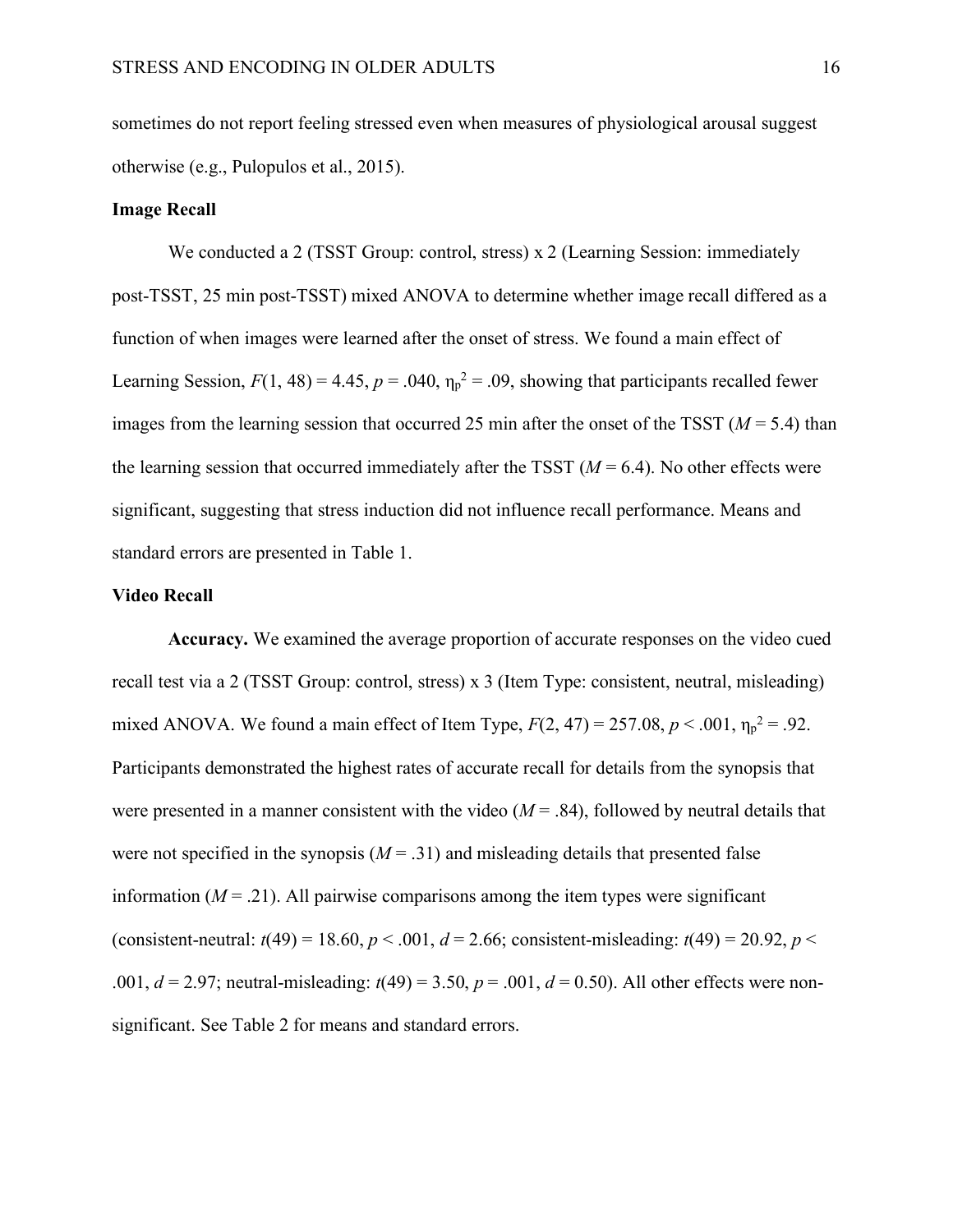sometimes do not report feeling stressed even when measures of physiological arousal suggest otherwise (e.g., Pulopulos et al., 2015).

#### **Image Recall**

We conducted a 2 (TSST Group: control, stress) x 2 (Learning Session: immediately post-TSST, 25 min post-TSST) mixed ANOVA to determine whether image recall differed as a function of when images were learned after the onset of stress. We found a main effect of Learning Session,  $F(1, 48) = 4.45$ ,  $p = .040$ ,  $\eta_p^2 = .09$ , showing that participants recalled fewer images from the learning session that occurred 25 min after the onset of the TSST ( $M = 5.4$ ) than the learning session that occurred immediately after the TSST  $(M = 6.4)$ . No other effects were significant, suggesting that stress induction did not influence recall performance. Means and standard errors are presented in Table 1.

#### **Video Recall**

**Accuracy.** We examined the average proportion of accurate responses on the video cued recall test via a 2 (TSST Group: control, stress) x 3 (Item Type: consistent, neutral, misleading) mixed ANOVA. We found a main effect of Item Type,  $F(2, 47) = 257.08$ ,  $p < .001$ ,  $\eta_p^2 = .92$ . Participants demonstrated the highest rates of accurate recall for details from the synopsis that were presented in a manner consistent with the video  $(M = .84)$ , followed by neutral details that were not specified in the synopsis  $(M = .31)$  and misleading details that presented false information  $(M = .21)$ . All pairwise comparisons among the item types were significant (consistent-neutral:  $t(49) = 18.60$ ,  $p < .001$ ,  $d = 2.66$ ; consistent-misleading:  $t(49) = 20.92$ ,  $p <$ .001,  $d = 2.97$ ; neutral-misleading:  $t(49) = 3.50$ ,  $p = .001$ ,  $d = 0.50$ ). All other effects were nonsignificant. See Table 2 for means and standard errors.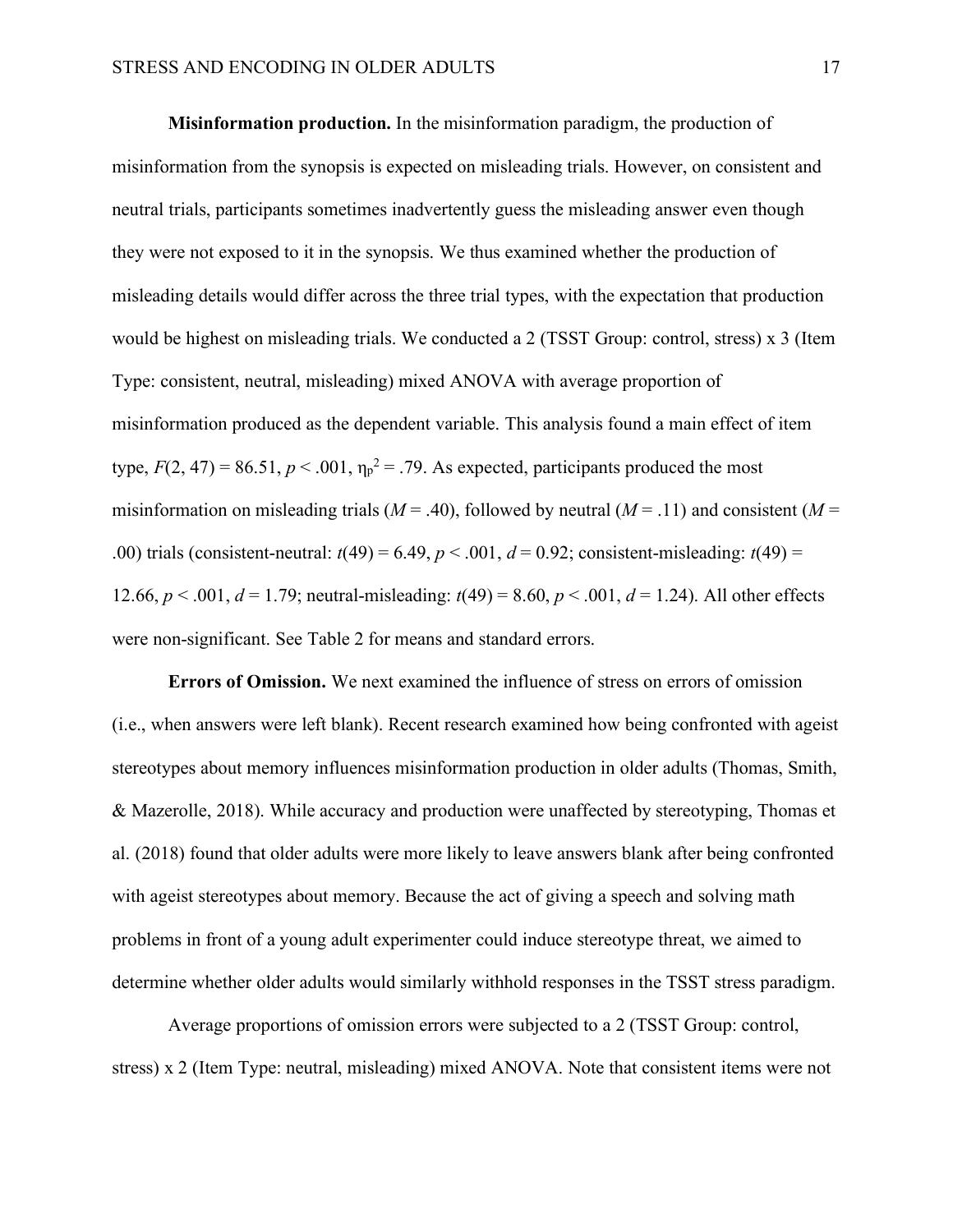**Misinformation production.** In the misinformation paradigm, the production of misinformation from the synopsis is expected on misleading trials. However, on consistent and neutral trials, participants sometimes inadvertently guess the misleading answer even though they were not exposed to it in the synopsis. We thus examined whether the production of misleading details would differ across the three trial types, with the expectation that production would be highest on misleading trials. We conducted a 2 (TSST Group: control, stress) x 3 (Item Type: consistent, neutral, misleading) mixed ANOVA with average proportion of misinformation produced as the dependent variable. This analysis found a main effect of item type,  $F(2, 47) = 86.51$ ,  $p < .001$ ,  $\eta_p^2 = .79$ . As expected, participants produced the most misinformation on misleading trials ( $M = .40$ ), followed by neutral ( $M = .11$ ) and consistent ( $M =$ .00) trials (consistent-neutral:  $t(49) = 6.49$ ,  $p < .001$ ,  $d = 0.92$ ; consistent-misleading:  $t(49) =$ 12.66,  $p < .001$ ,  $d = 1.79$ ; neutral-misleading:  $t(49) = 8.60$ ,  $p < .001$ ,  $d = 1.24$ ). All other effects were non-significant. See Table 2 for means and standard errors.

**Errors of Omission.** We next examined the influence of stress on errors of omission (i.e., when answers were left blank). Recent research examined how being confronted with ageist stereotypes about memory influences misinformation production in older adults (Thomas, Smith, & Mazerolle, 2018). While accuracy and production were unaffected by stereotyping, Thomas et al. (2018) found that older adults were more likely to leave answers blank after being confronted with ageist stereotypes about memory. Because the act of giving a speech and solving math problems in front of a young adult experimenter could induce stereotype threat, we aimed to determine whether older adults would similarly withhold responses in the TSST stress paradigm.

Average proportions of omission errors were subjected to a 2 (TSST Group: control, stress) x 2 (Item Type: neutral, misleading) mixed ANOVA. Note that consistent items were not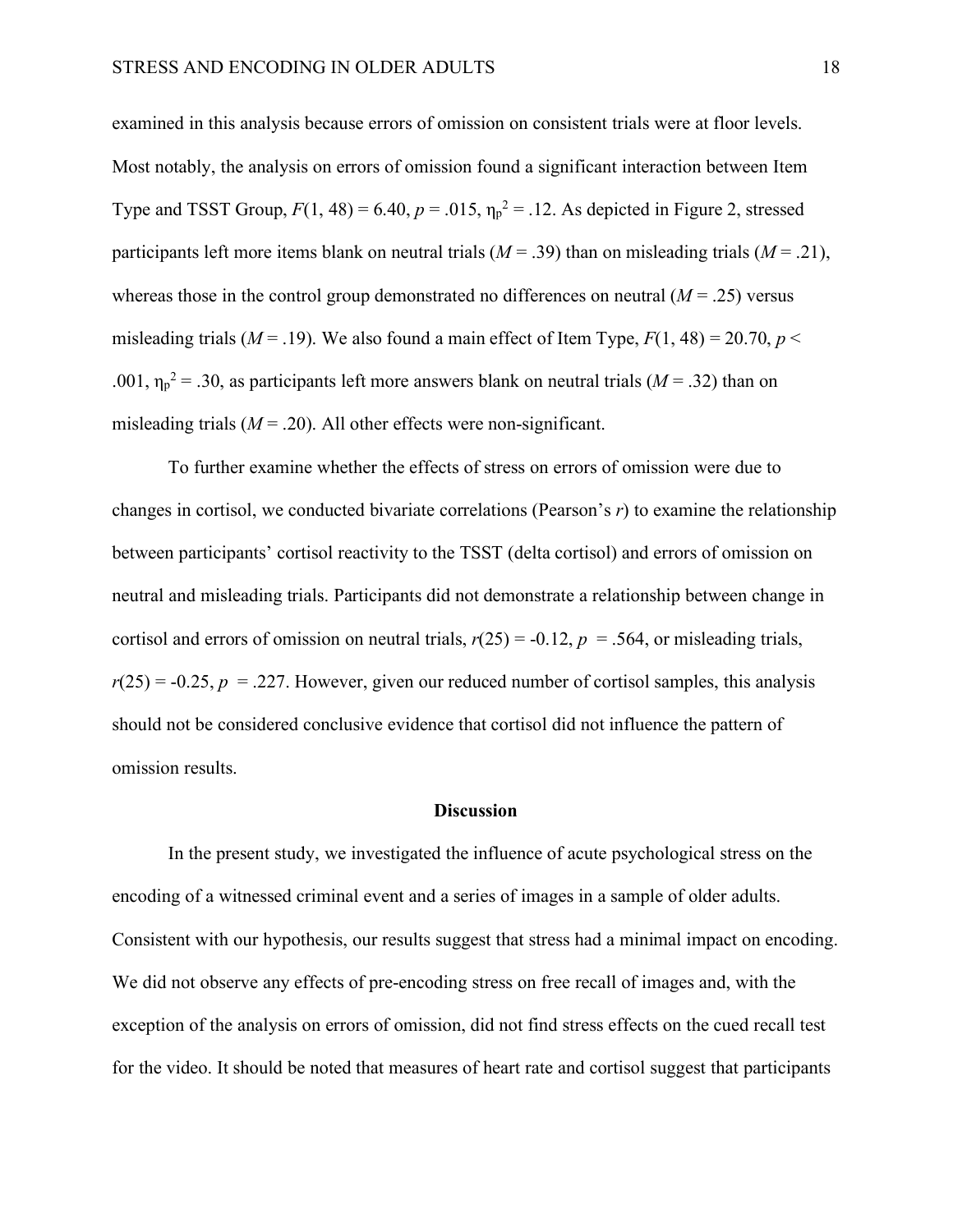examined in this analysis because errors of omission on consistent trials were at floor levels. Most notably, the analysis on errors of omission found a significant interaction between Item Type and TSST Group,  $F(1, 48) = 6.40$ ,  $p = .015$ ,  $\eta_p^2 = .12$ . As depicted in Figure 2, stressed participants left more items blank on neutral trials ( $M = .39$ ) than on misleading trials ( $M = .21$ ), whereas those in the control group demonstrated no differences on neutral  $(M = .25)$  versus misleading trials ( $M = .19$ ). We also found a main effect of Item Type,  $F(1, 48) = 20.70$ ,  $p <$ .001,  $\eta_p^2$  = .30, as participants left more answers blank on neutral trials ( $M = .32$ ) than on misleading trials  $(M = .20)$ . All other effects were non-significant.

To further examine whether the effects of stress on errors of omission were due to changes in cortisol, we conducted bivariate correlations (Pearson's *r*) to examine the relationship between participants' cortisol reactivity to the TSST (delta cortisol) and errors of omission on neutral and misleading trials. Participants did not demonstrate a relationship between change in cortisol and errors of omission on neutral trials,  $r(25) = -0.12$ ,  $p = .564$ , or misleading trials,  $r(25) = -0.25$ ,  $p = .227$ . However, given our reduced number of cortisol samples, this analysis should not be considered conclusive evidence that cortisol did not influence the pattern of omission results.

#### **Discussion**

In the present study, we investigated the influence of acute psychological stress on the encoding of a witnessed criminal event and a series of images in a sample of older adults. Consistent with our hypothesis, our results suggest that stress had a minimal impact on encoding. We did not observe any effects of pre-encoding stress on free recall of images and, with the exception of the analysis on errors of omission, did not find stress effects on the cued recall test for the video. It should be noted that measures of heart rate and cortisol suggest that participants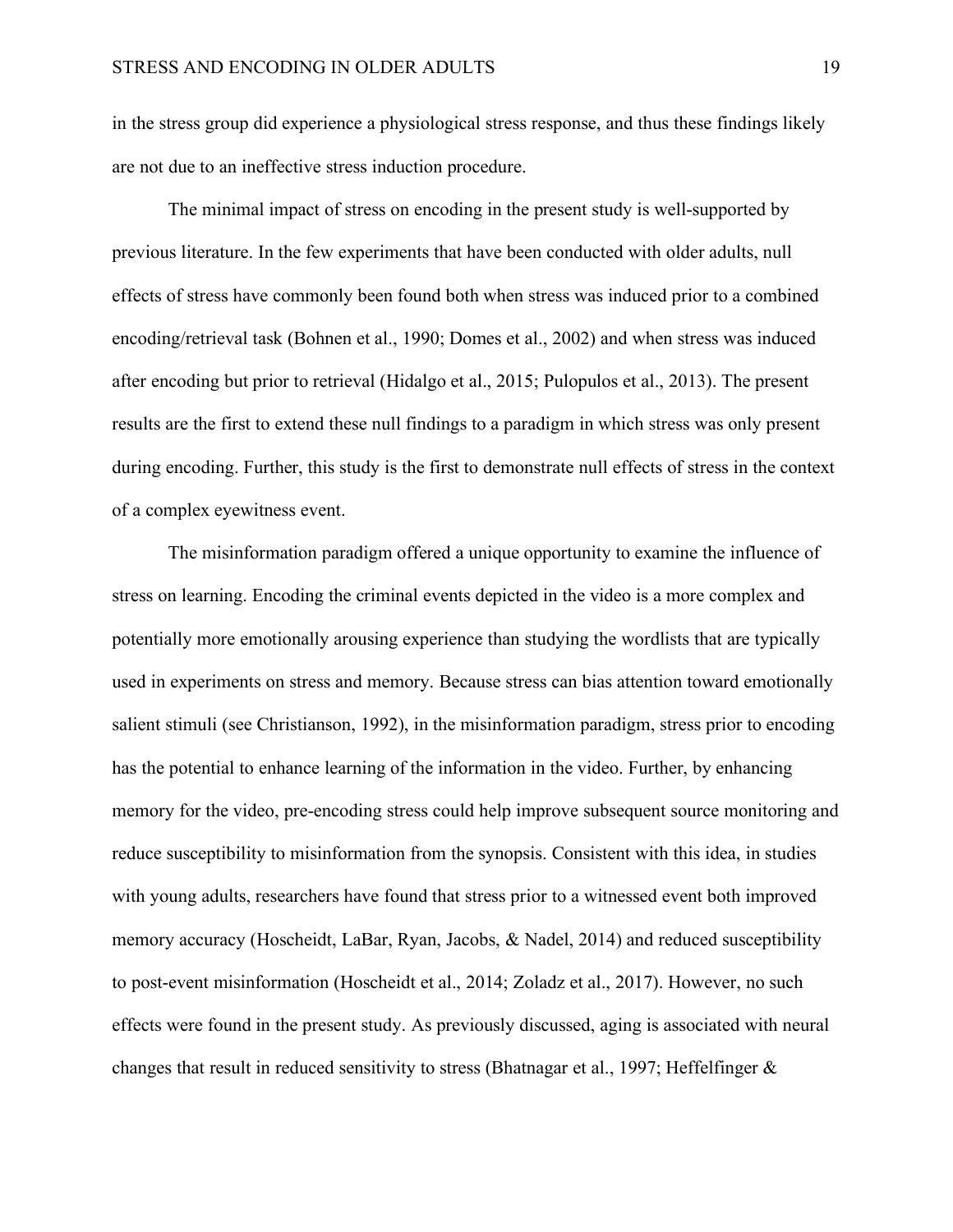in the stress group did experience a physiological stress response, and thus these findings likely are not due to an ineffective stress induction procedure.

The minimal impact of stress on encoding in the present study is well-supported by previous literature. In the few experiments that have been conducted with older adults, null effects of stress have commonly been found both when stress was induced prior to a combined encoding/retrieval task (Bohnen et al., 1990; Domes et al., 2002) and when stress was induced after encoding but prior to retrieval (Hidalgo et al., 2015; Pulopulos et al., 2013). The present results are the first to extend these null findings to a paradigm in which stress was only present during encoding. Further, this study is the first to demonstrate null effects of stress in the context of a complex eyewitness event.

The misinformation paradigm offered a unique opportunity to examine the influence of stress on learning. Encoding the criminal events depicted in the video is a more complex and potentially more emotionally arousing experience than studying the wordlists that are typically used in experiments on stress and memory. Because stress can bias attention toward emotionally salient stimuli (see Christianson, 1992), in the misinformation paradigm, stress prior to encoding has the potential to enhance learning of the information in the video. Further, by enhancing memory for the video, pre-encoding stress could help improve subsequent source monitoring and reduce susceptibility to misinformation from the synopsis. Consistent with this idea, in studies with young adults, researchers have found that stress prior to a witnessed event both improved memory accuracy (Hoscheidt, LaBar, Ryan, Jacobs, & Nadel, 2014) and reduced susceptibility to post-event misinformation (Hoscheidt et al., 2014; Zoladz et al., 2017). However, no such effects were found in the present study. As previously discussed, aging is associated with neural changes that result in reduced sensitivity to stress (Bhatnagar et al., 1997; Heffelfinger &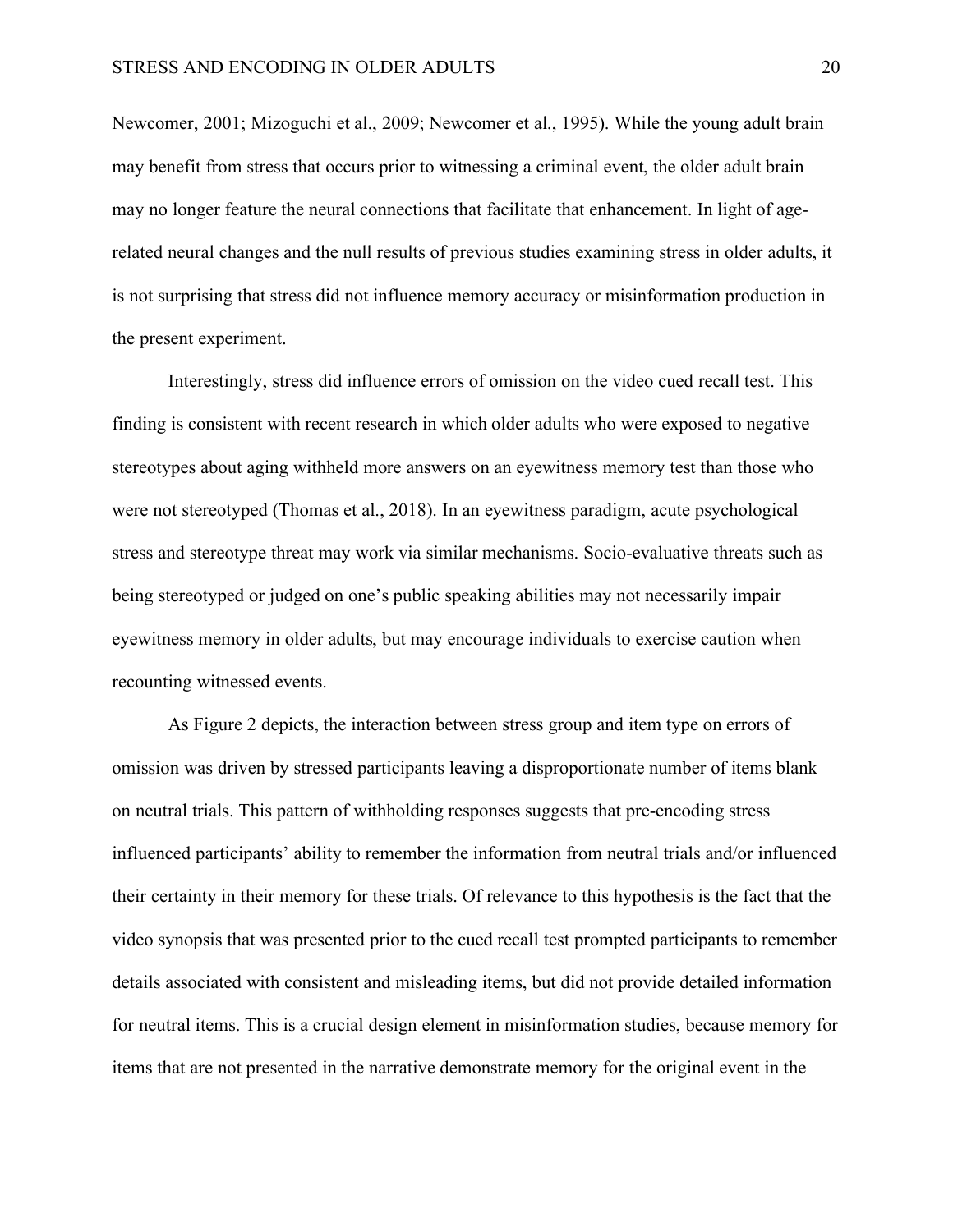Newcomer, 2001; Mizoguchi et al., 2009; Newcomer et al., 1995). While the young adult brain may benefit from stress that occurs prior to witnessing a criminal event, the older adult brain may no longer feature the neural connections that facilitate that enhancement. In light of agerelated neural changes and the null results of previous studies examining stress in older adults, it is not surprising that stress did not influence memory accuracy or misinformation production in the present experiment.

Interestingly, stress did influence errors of omission on the video cued recall test. This finding is consistent with recent research in which older adults who were exposed to negative stereotypes about aging withheld more answers on an eyewitness memory test than those who were not stereotyped (Thomas et al., 2018). In an eyewitness paradigm, acute psychological stress and stereotype threat may work via similar mechanisms. Socio-evaluative threats such as being stereotyped or judged on one's public speaking abilities may not necessarily impair eyewitness memory in older adults, but may encourage individuals to exercise caution when recounting witnessed events.

As Figure 2 depicts, the interaction between stress group and item type on errors of omission was driven by stressed participants leaving a disproportionate number of items blank on neutral trials. This pattern of withholding responses suggests that pre-encoding stress influenced participants' ability to remember the information from neutral trials and/or influenced their certainty in their memory for these trials. Of relevance to this hypothesis is the fact that the video synopsis that was presented prior to the cued recall test prompted participants to remember details associated with consistent and misleading items, but did not provide detailed information for neutral items. This is a crucial design element in misinformation studies, because memory for items that are not presented in the narrative demonstrate memory for the original event in the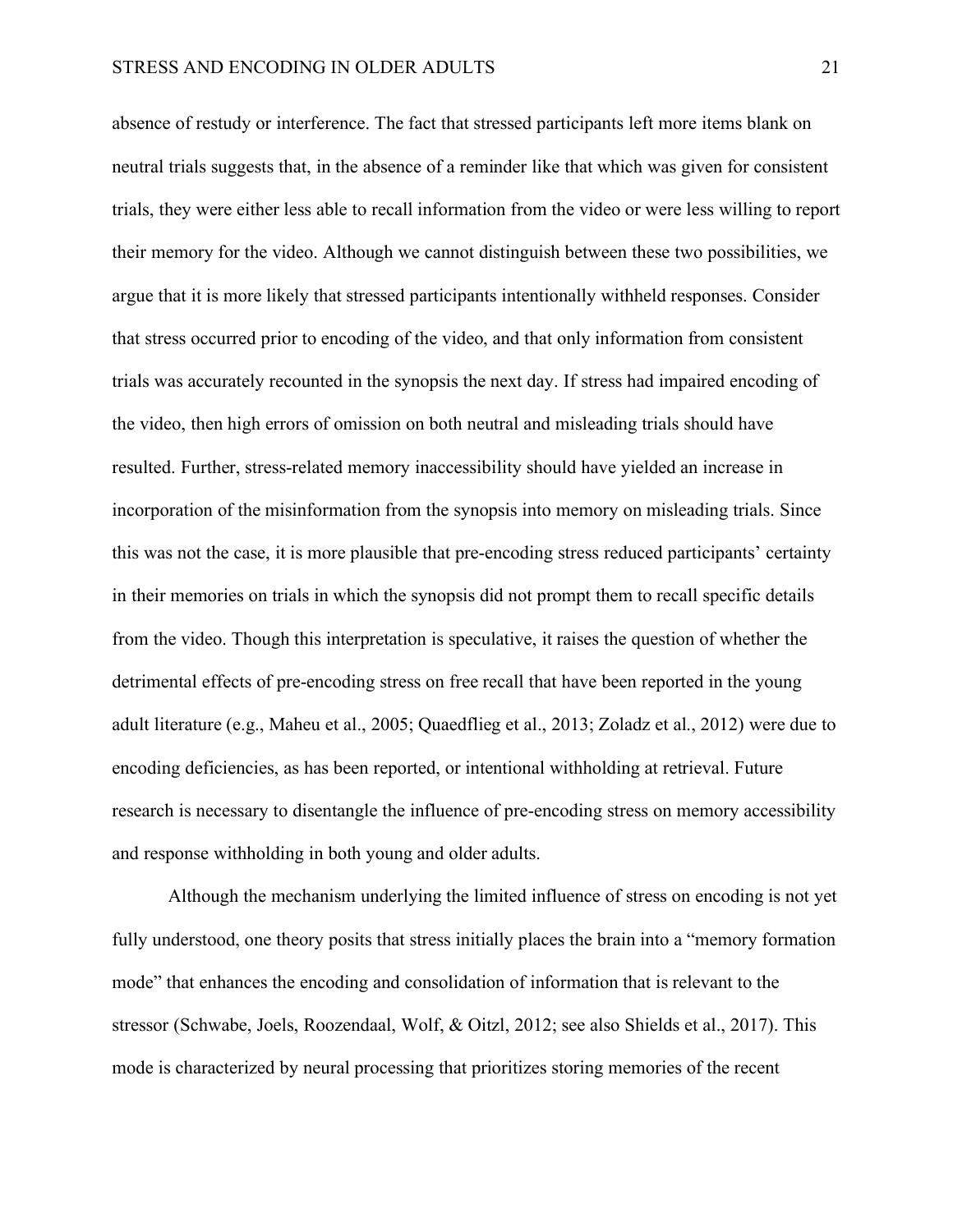absence of restudy or interference. The fact that stressed participants left more items blank on neutral trials suggests that, in the absence of a reminder like that which was given for consistent trials, they were either less able to recall information from the video or were less willing to report their memory for the video. Although we cannot distinguish between these two possibilities, we argue that it is more likely that stressed participants intentionally withheld responses. Consider that stress occurred prior to encoding of the video, and that only information from consistent trials was accurately recounted in the synopsis the next day. If stress had impaired encoding of the video, then high errors of omission on both neutral and misleading trials should have resulted. Further, stress-related memory inaccessibility should have yielded an increase in incorporation of the misinformation from the synopsis into memory on misleading trials. Since this was not the case, it is more plausible that pre-encoding stress reduced participants' certainty in their memories on trials in which the synopsis did not prompt them to recall specific details from the video. Though this interpretation is speculative, it raises the question of whether the detrimental effects of pre-encoding stress on free recall that have been reported in the young adult literature (e.g., Maheu et al., 2005; Quaedflieg et al., 2013; Zoladz et al., 2012) were due to encoding deficiencies, as has been reported, or intentional withholding at retrieval. Future research is necessary to disentangle the influence of pre-encoding stress on memory accessibility and response withholding in both young and older adults.

Although the mechanism underlying the limited influence of stress on encoding is not yet fully understood, one theory posits that stress initially places the brain into a "memory formation mode" that enhances the encoding and consolidation of information that is relevant to the stressor (Schwabe, Joels, Roozendaal, Wolf, & Oitzl, 2012; see also Shields et al., 2017). This mode is characterized by neural processing that prioritizes storing memories of the recent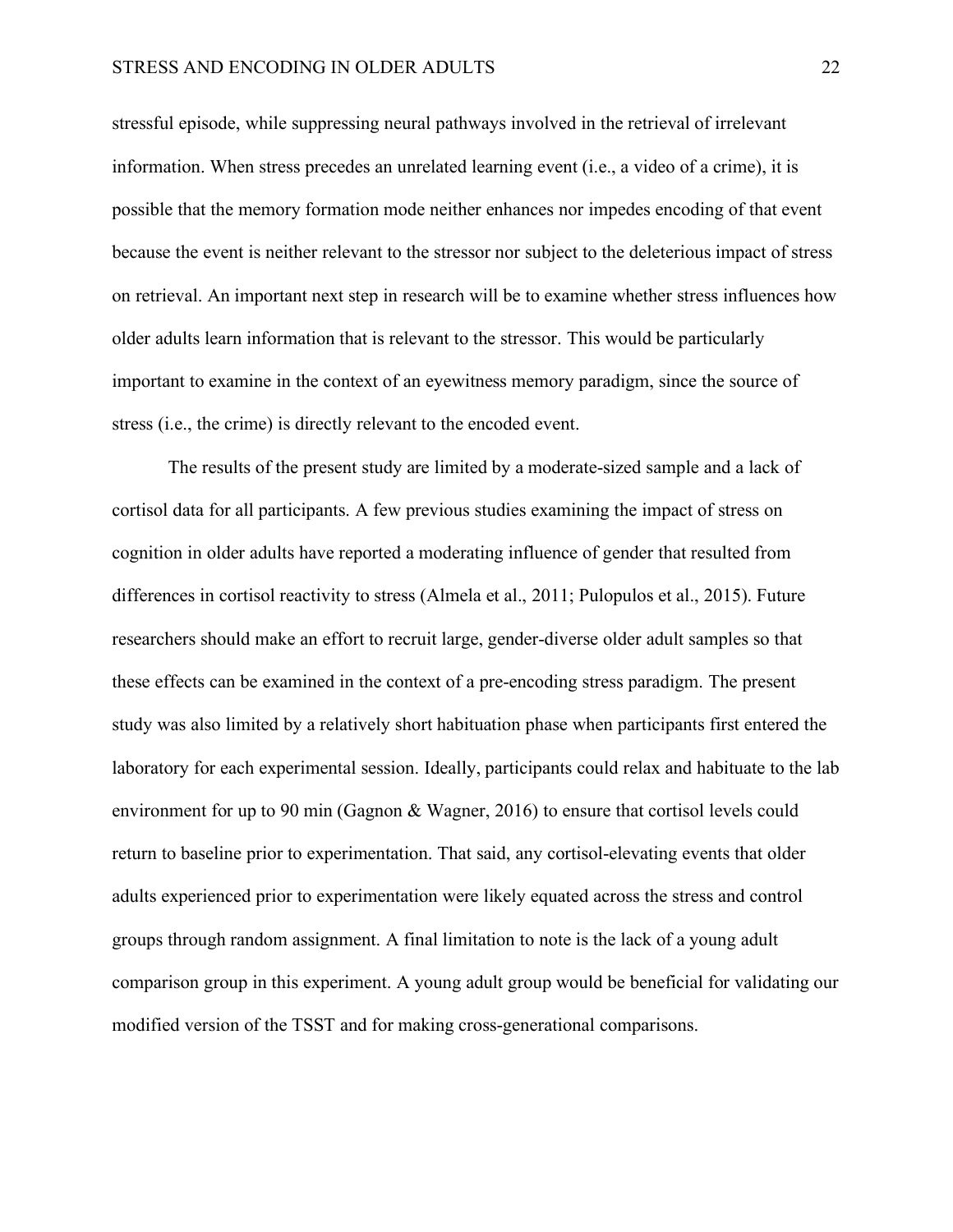#### STRESS AND ENCODING IN OLDER ADULTS 22

stressful episode, while suppressing neural pathways involved in the retrieval of irrelevant information. When stress precedes an unrelated learning event (i.e., a video of a crime), it is possible that the memory formation mode neither enhances nor impedes encoding of that event because the event is neither relevant to the stressor nor subject to the deleterious impact of stress on retrieval. An important next step in research will be to examine whether stress influences how older adults learn information that is relevant to the stressor. This would be particularly important to examine in the context of an eyewitness memory paradigm, since the source of stress (i.e., the crime) is directly relevant to the encoded event.

The results of the present study are limited by a moderate-sized sample and a lack of cortisol data for all participants. A few previous studies examining the impact of stress on cognition in older adults have reported a moderating influence of gender that resulted from differences in cortisol reactivity to stress (Almela et al., 2011; Pulopulos et al., 2015). Future researchers should make an effort to recruit large, gender-diverse older adult samples so that these effects can be examined in the context of a pre-encoding stress paradigm. The present study was also limited by a relatively short habituation phase when participants first entered the laboratory for each experimental session. Ideally, participants could relax and habituate to the lab environment for up to 90 min (Gagnon & Wagner, 2016) to ensure that cortisol levels could return to baseline prior to experimentation. That said, any cortisol-elevating events that older adults experienced prior to experimentation were likely equated across the stress and control groups through random assignment. A final limitation to note is the lack of a young adult comparison group in this experiment. A young adult group would be beneficial for validating our modified version of the TSST and for making cross-generational comparisons.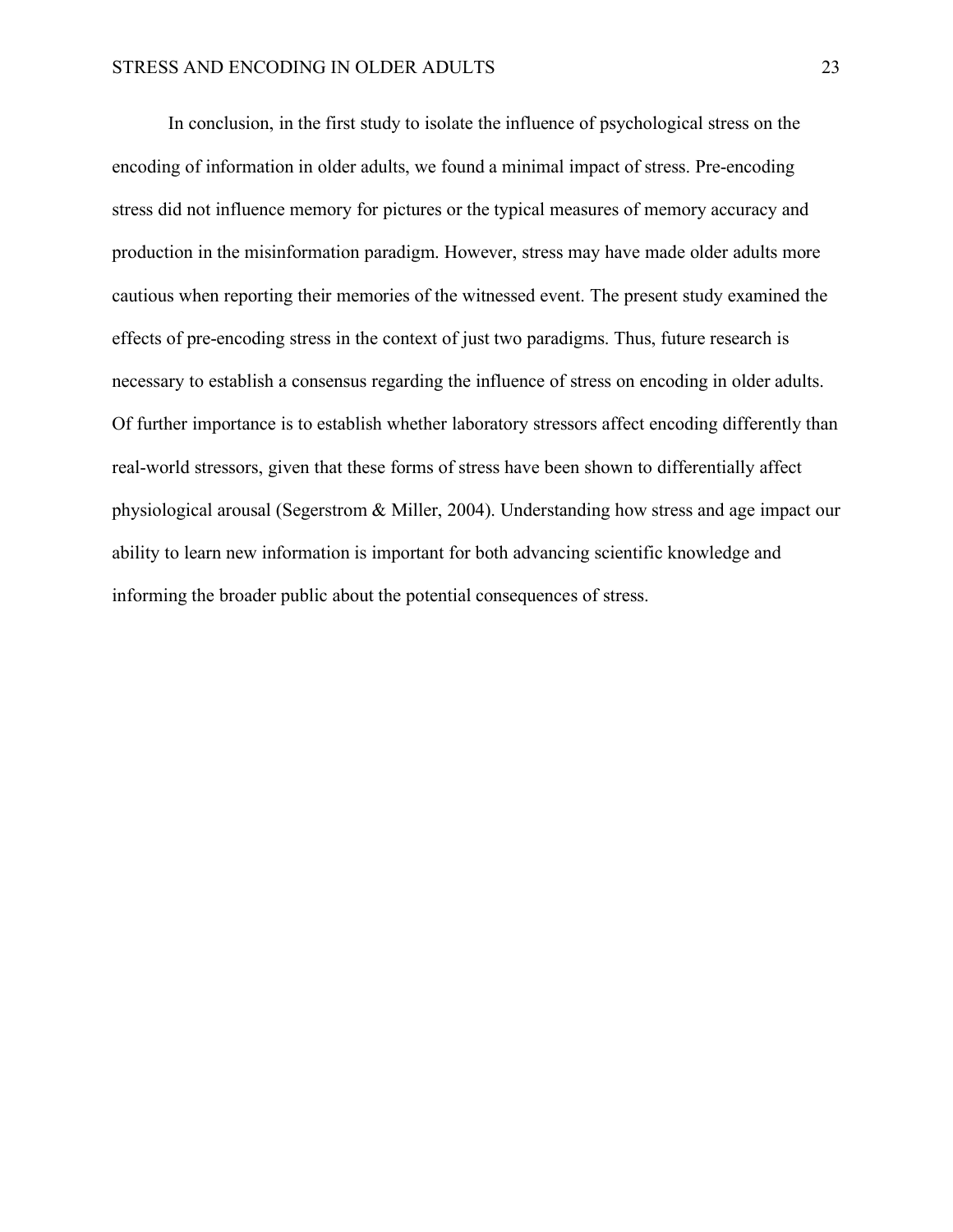In conclusion, in the first study to isolate the influence of psychological stress on the encoding of information in older adults, we found a minimal impact of stress. Pre-encoding stress did not influence memory for pictures or the typical measures of memory accuracy and production in the misinformation paradigm. However, stress may have made older adults more cautious when reporting their memories of the witnessed event. The present study examined the effects of pre-encoding stress in the context of just two paradigms. Thus, future research is necessary to establish a consensus regarding the influence of stress on encoding in older adults. Of further importance is to establish whether laboratory stressors affect encoding differently than real-world stressors, given that these forms of stress have been shown to differentially affect physiological arousal (Segerstrom & Miller, 2004). Understanding how stress and age impact our ability to learn new information is important for both advancing scientific knowledge and informing the broader public about the potential consequences of stress.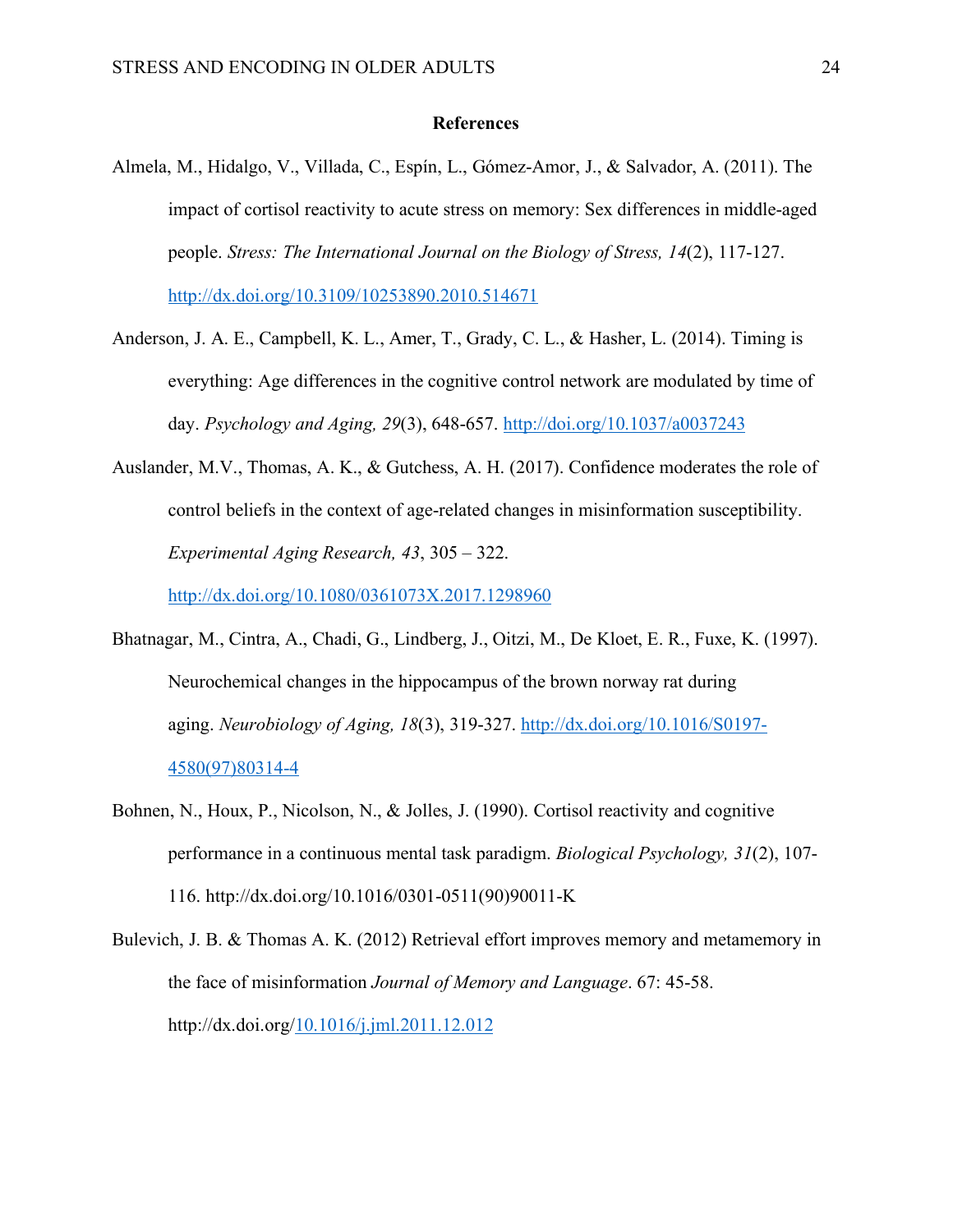#### **References**

- Almela, M., Hidalgo, V., Villada, C., Espín, L., Gómez-Amor, J., & Salvador, A. (2011). The impact of cortisol reactivity to acute stress on memory: Sex differences in middle-aged people. *Stress: The International Journal on the Biology of Stress, 14*(2), 117-127. http://dx.doi.org/10.3109/10253890.2010.514671
- Anderson, J. A. E., Campbell, K. L., Amer, T., Grady, C. L., & Hasher, L. (2014). Timing is everything: Age differences in the cognitive control network are modulated by time of day. *Psychology and Aging, 29*(3), 648-657. http://doi.org/10.1037/a0037243
- Auslander, M.V., Thomas, A. K., & Gutchess, A. H. (2017). Confidence moderates the role of control beliefs in the context of age-related changes in misinformation susceptibility. *Experimental Aging Research, 43*, 305 – 322.

http://dx.doi.org/10.1080/0361073X.2017.1298960

- Bhatnagar, M., Cintra, A., Chadi, G., Lindberg, J., Oitzi, M., De Kloet, E. R., Fuxe, K. (1997). Neurochemical changes in the hippocampus of the brown norway rat during aging. *Neurobiology of Aging, 18*(3), 319-327. http://dx.doi.org/10.1016/S0197- 4580(97)80314-4
- Bohnen, N., Houx, P., Nicolson, N., & Jolles, J. (1990). Cortisol reactivity and cognitive performance in a continuous mental task paradigm. *Biological Psychology, 31*(2), 107- 116. http://dx.doi.org/10.1016/0301-0511(90)90011-K
- Bulevich, J. B. & Thomas A. K. (2012) Retrieval effort improves memory and metamemory in the face of misinformation *Journal of Memory and Language*. 67: 45-58. http://dx.doi.org/10.1016/j.jml.2011.12.012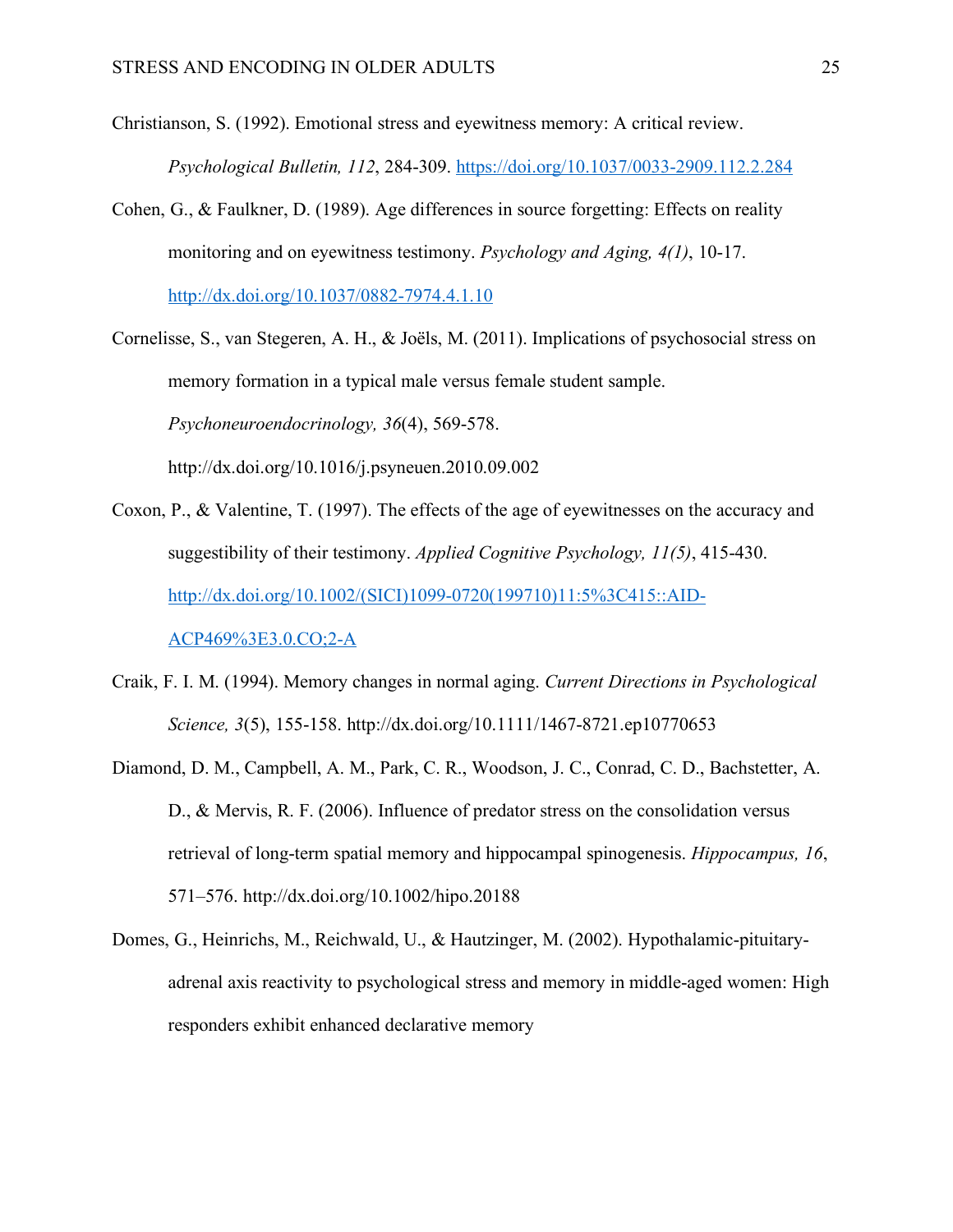Christianson, S. (1992). Emotional stress and eyewitness memory: A critical review.

*Psychological Bulletin, 112*, 284-309. https://doi.org/10.1037/0033-2909.112.2.284

Cohen, G., & Faulkner, D. (1989). Age differences in source forgetting: Effects on reality monitoring and on eyewitness testimony. *Psychology and Aging, 4(1)*, 10-17. http://dx.doi.org/10.1037/0882-7974.4.1.10

Cornelisse, S., van Stegeren, A. H., & Joëls, M. (2011). Implications of psychosocial stress on memory formation in a typical male versus female student sample. *Psychoneuroendocrinology, 36*(4), 569-578. http://dx.doi.org/10.1016/j.psyneuen.2010.09.002

- Coxon, P., & Valentine, T. (1997). The effects of the age of eyewitnesses on the accuracy and suggestibility of their testimony. *Applied Cognitive Psychology, 11(5)*, 415-430. http://dx.doi.org/10.1002/(SICI)1099-0720(199710)11:5%3C415::AID-ACP469%3E3.0.CO;2-A
- Craik, F. I. M. (1994). Memory changes in normal aging. *Current Directions in Psychological Science, 3*(5), 155-158. http://dx.doi.org/10.1111/1467-8721.ep10770653
- Diamond, D. M., Campbell, A. M., Park, C. R., Woodson, J. C., Conrad, C. D., Bachstetter, A. D., & Mervis, R. F. (2006). Influence of predator stress on the consolidation versus retrieval of long-term spatial memory and hippocampal spinogenesis. *Hippocampus, 16*, 571–576. http://dx.doi.org/10.1002/hipo.20188
- Domes, G., Heinrichs, M., Reichwald, U., & Hautzinger, M. (2002). Hypothalamic-pituitaryadrenal axis reactivity to psychological stress and memory in middle-aged women: High responders exhibit enhanced declarative memory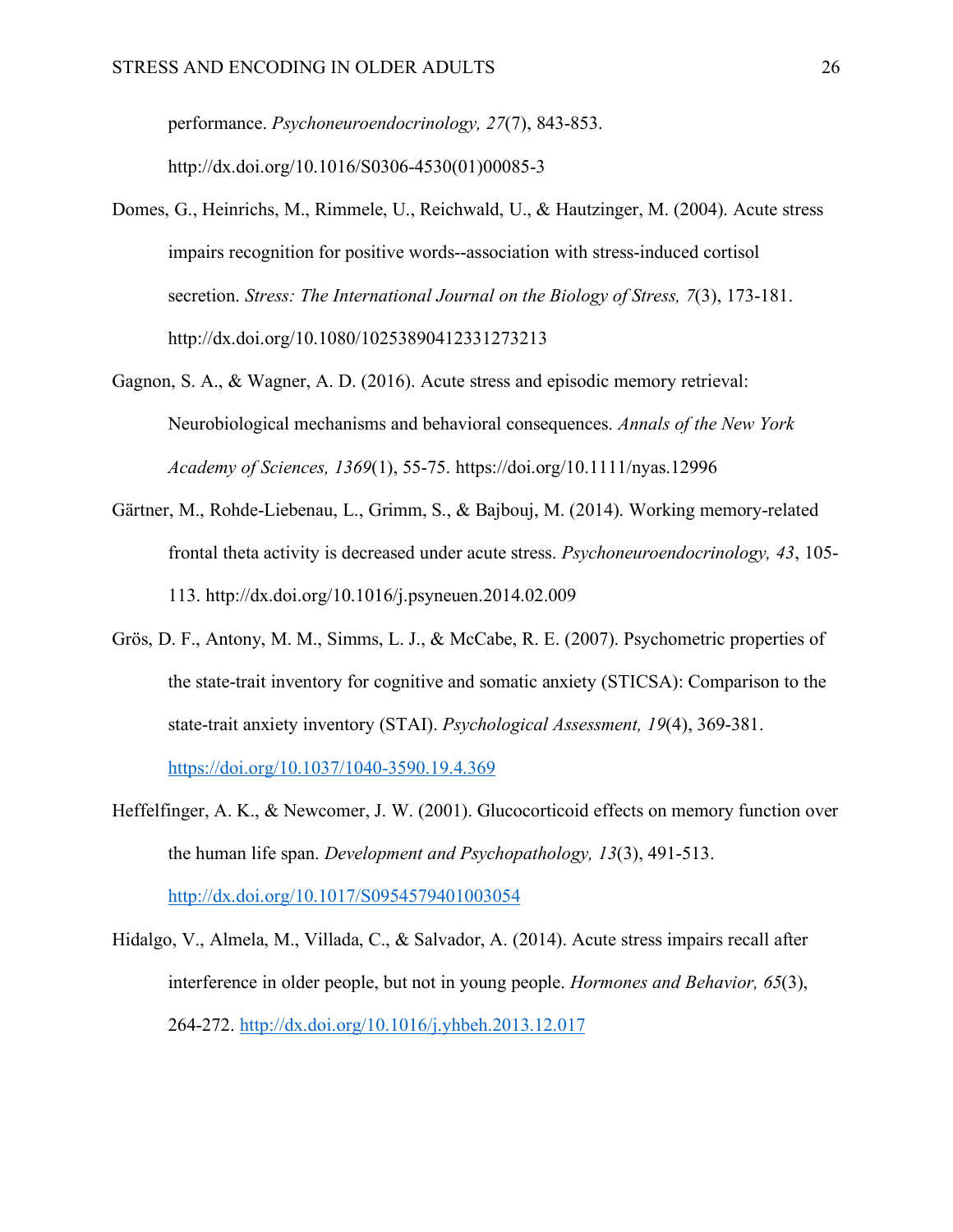performance. *Psychoneuroendocrinology, 27*(7), 843-853. http://dx.doi.org/10.1016/S0306-4530(01)00085-3

- Domes, G., Heinrichs, M., Rimmele, U., Reichwald, U., & Hautzinger, M. (2004). Acute stress impairs recognition for positive words--association with stress-induced cortisol secretion. *Stress: The International Journal on the Biology of Stress, 7*(3), 173-181. http://dx.doi.org/10.1080/10253890412331273213
- Gagnon, S. A., & Wagner, A. D. (2016). Acute stress and episodic memory retrieval: Neurobiological mechanisms and behavioral consequences. *Annals of the New York Academy of Sciences, 1369*(1), 55-75. https://doi.org/10.1111/nyas.12996
- Gärtner, M., Rohde-Liebenau, L., Grimm, S., & Bajbouj, M. (2014). Working memory-related frontal theta activity is decreased under acute stress. *Psychoneuroendocrinology, 43*, 105- 113. http://dx.doi.org/10.1016/j.psyneuen.2014.02.009
- Grös, D. F., Antony, M. M., Simms, L. J., & McCabe, R. E. (2007). Psychometric properties of the state-trait inventory for cognitive and somatic anxiety (STICSA): Comparison to the state-trait anxiety inventory (STAI). *Psychological Assessment, 19*(4), 369-381.

https://doi.org/10.1037/1040-3590.19.4.369

- Heffelfinger, A. K., & Newcomer, J. W. (2001). Glucocorticoid effects on memory function over the human life span. *Development and Psychopathology, 13*(3), 491-513. http://dx.doi.org/10.1017/S0954579401003054
- Hidalgo, V., Almela, M., Villada, C., & Salvador, A. (2014). Acute stress impairs recall after interference in older people, but not in young people. *Hormones and Behavior, 65*(3), 264-272. http://dx.doi.org/10.1016/j.yhbeh.2013.12.017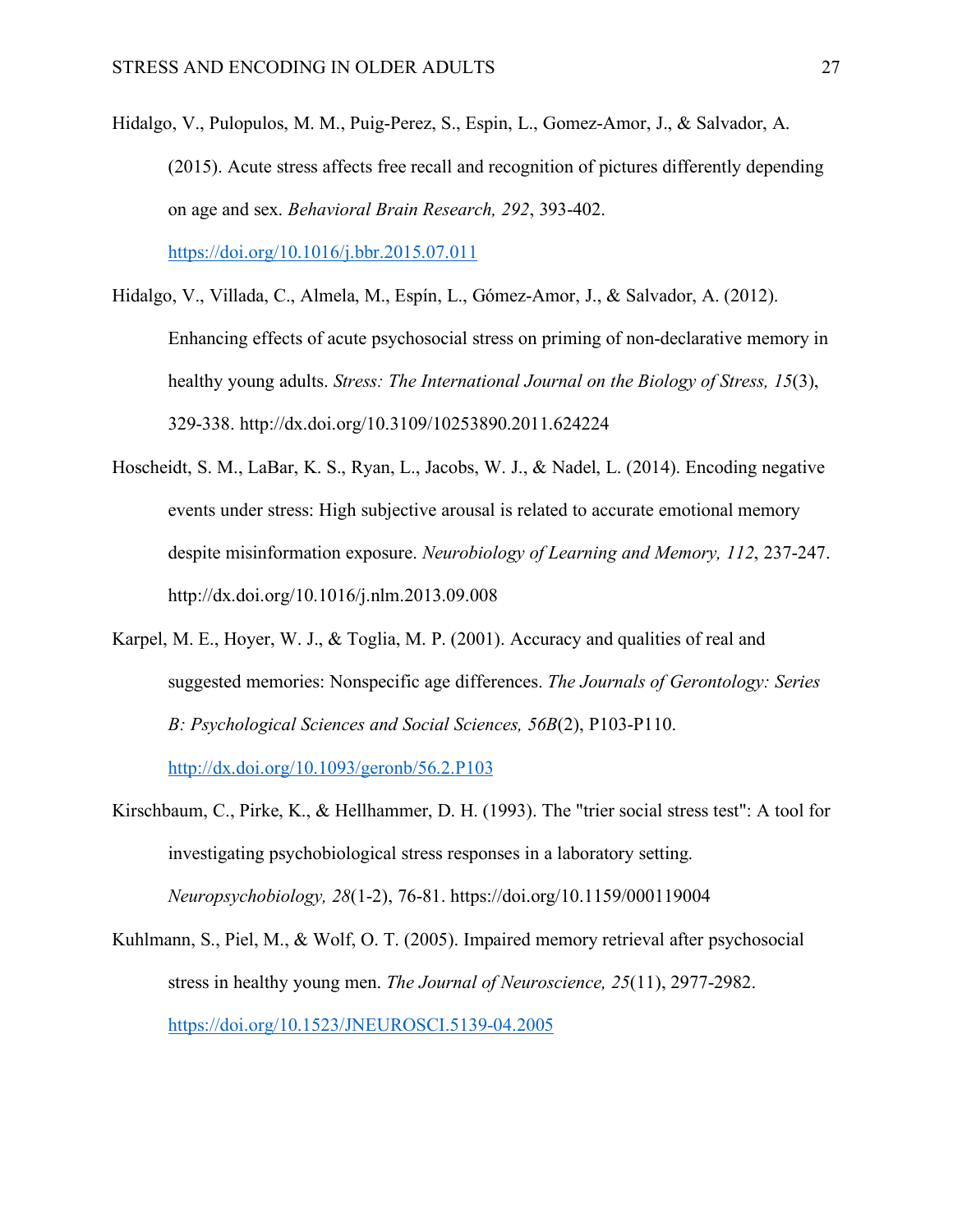Hidalgo, V., Pulopulos, M. M., Puig-Perez, S., Espin, L., Gomez-Amor, J., & Salvador, A. (2015). Acute stress affects free recall and recognition of pictures differently depending on age and sex. *Behavioral Brain Research, 292*, 393-402.

https://doi.org/10.1016/j.bbr.2015.07.011

- Hidalgo, V., Villada, C., Almela, M., Espín, L., Gómez-Amor, J., & Salvador, A. (2012). Enhancing effects of acute psychosocial stress on priming of non-declarative memory in healthy young adults. *Stress: The International Journal on the Biology of Stress, 15*(3), 329-338. http://dx.doi.org/10.3109/10253890.2011.624224
- Hoscheidt, S. M., LaBar, K. S., Ryan, L., Jacobs, W. J., & Nadel, L. (2014). Encoding negative events under stress: High subjective arousal is related to accurate emotional memory despite misinformation exposure. *Neurobiology of Learning and Memory, 112*, 237-247. http://dx.doi.org/10.1016/j.nlm.2013.09.008
- Karpel, M. E., Hoyer, W. J., & Toglia, M. P. (2001). Accuracy and qualities of real and suggested memories: Nonspecific age differences. *The Journals of Gerontology: Series B: Psychological Sciences and Social Sciences, 56B*(2), P103-P110.

http://dx.doi.org/10.1093/geronb/56.2.P103

- Kirschbaum, C., Pirke, K., & Hellhammer, D. H. (1993). The "trier social stress test": A tool for investigating psychobiological stress responses in a laboratory setting. *Neuropsychobiology, 28*(1-2), 76-81. https://doi.org/10.1159/000119004
- Kuhlmann, S., Piel, M., & Wolf, O. T. (2005). Impaired memory retrieval after psychosocial stress in healthy young men. *The Journal of Neuroscience, 25*(11), 2977-2982. https://doi.org/10.1523/JNEUROSCI.5139-04.2005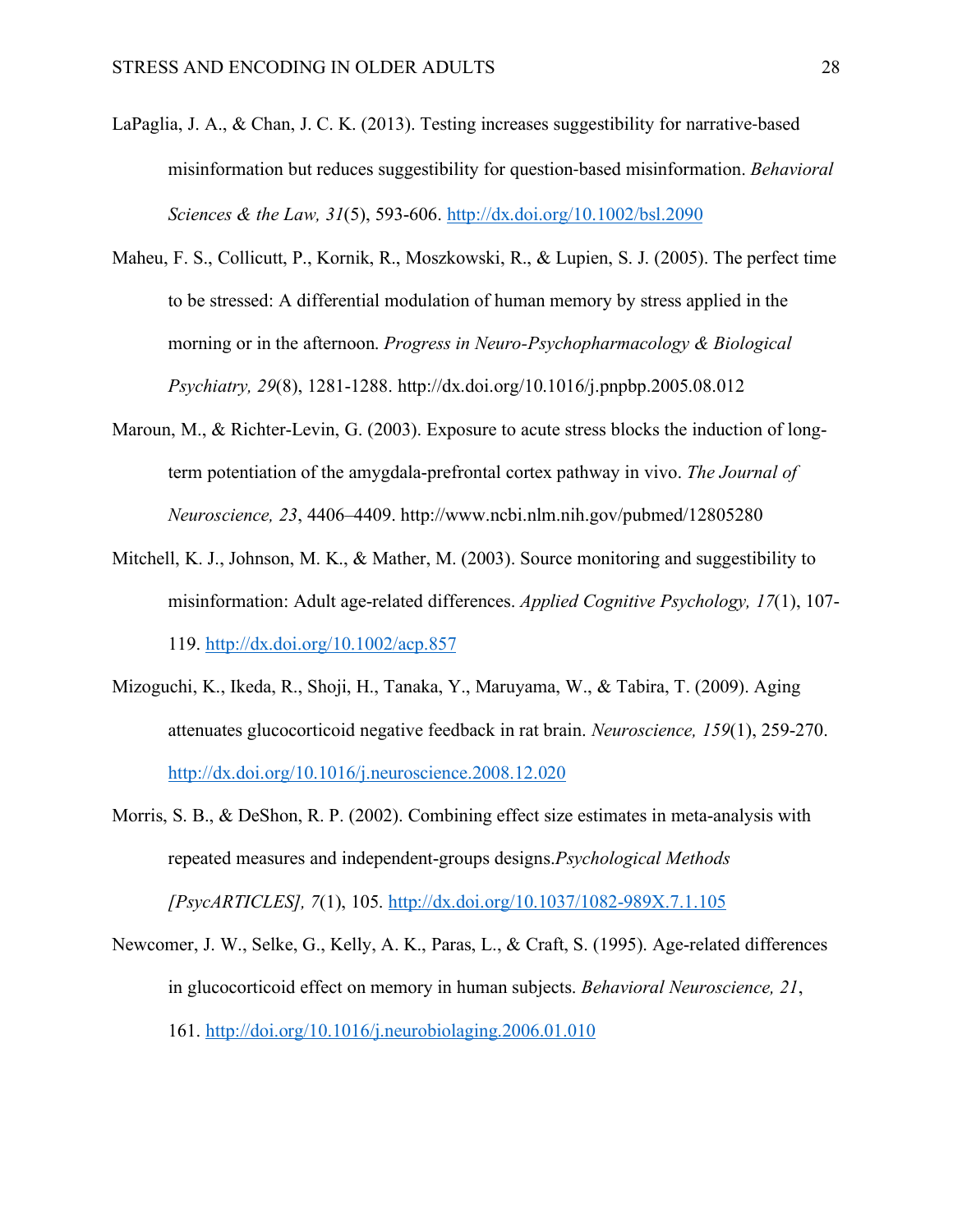- LaPaglia, J. A., & Chan, J. C. K. (2013). Testing increases suggestibility for narrative-based misinformation but reduces suggestibility for question-based misinformation. *Behavioral Sciences & the Law, 31*(5), 593-606. http://dx.doi.org/10.1002/bsl.2090
- Maheu, F. S., Collicutt, P., Kornik, R., Moszkowski, R., & Lupien, S. J. (2005). The perfect time to be stressed: A differential modulation of human memory by stress applied in the morning or in the afternoon. *Progress in Neuro-Psychopharmacology & Biological Psychiatry, 29*(8), 1281-1288. http://dx.doi.org/10.1016/j.pnpbp.2005.08.012
- Maroun, M., & Richter-Levin, G. (2003). Exposure to acute stress blocks the induction of longterm potentiation of the amygdala-prefrontal cortex pathway in vivo. *The Journal of Neuroscience, 23*, 4406–4409. http://www.ncbi.nlm.nih.gov/pubmed/12805280
- Mitchell, K. J., Johnson, M. K., & Mather, M. (2003). Source monitoring and suggestibility to misinformation: Adult age-related differences. *Applied Cognitive Psychology, 17*(1), 107- 119. http://dx.doi.org/10.1002/acp.857
- Mizoguchi, K., Ikeda, R., Shoji, H., Tanaka, Y., Maruyama, W., & Tabira, T. (2009). Aging attenuates glucocorticoid negative feedback in rat brain. *Neuroscience, 159*(1), 259-270. http://dx.doi.org/10.1016/j.neuroscience.2008.12.020
- Morris, S. B., & DeShon, R. P. (2002). Combining effect size estimates in meta-analysis with repeated measures and independent-groups designs.*Psychological Methods [PsycARTICLES], 7*(1), 105. http://dx.doi.org/10.1037/1082-989X.7.1.105
- Newcomer, J. W., Selke, G., Kelly, A. K., Paras, L., & Craft, S. (1995). Age-related differences in glucocorticoid effect on memory in human subjects. *Behavioral Neuroscience, 21*, 161. http://doi.org/10.1016/j.neurobiolaging.2006.01.010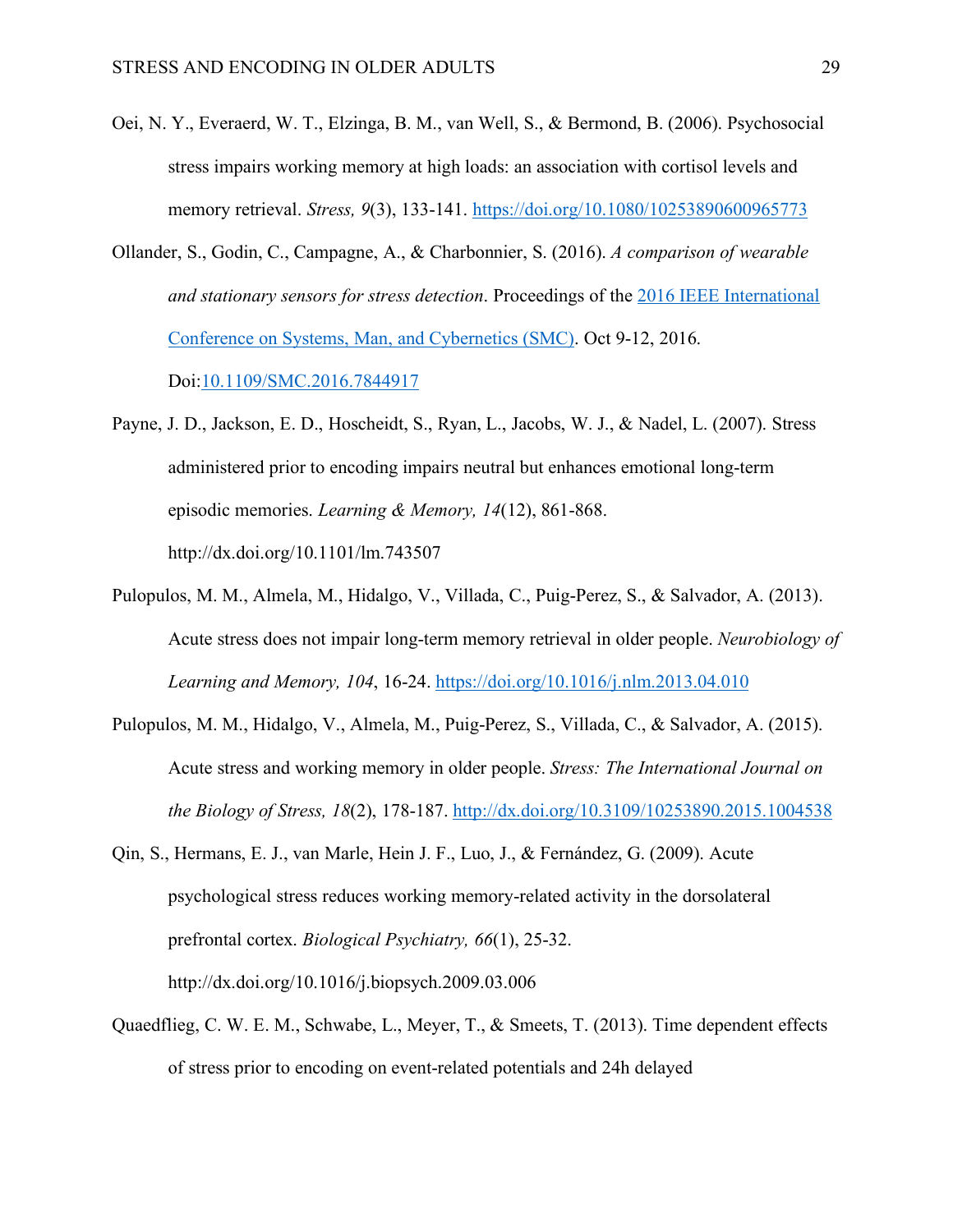- Oei, N. Y., Everaerd, W. T., Elzinga, B. M., van Well, S., & Bermond, B. (2006). Psychosocial stress impairs working memory at high loads: an association with cortisol levels and memory retrieval. *Stress, 9*(3), 133-141. https://doi.org/10.1080/10253890600965773
- Ollander, S., Godin, C., Campagne, A., & Charbonnier, S. (2016). *A comparison of wearable and stationary sensors for stress detection*. Proceedings of the 2016 IEEE International Conference on Systems, Man, and Cybernetics (SMC). Oct 9-12, 2016. Doi:10.1109/SMC.2016.7844917
- Payne, J. D., Jackson, E. D., Hoscheidt, S., Ryan, L., Jacobs, W. J., & Nadel, L. (2007). Stress administered prior to encoding impairs neutral but enhances emotional long-term episodic memories. *Learning & Memory, 14*(12), 861-868. http://dx.doi.org/10.1101/lm.743507
- Pulopulos, M. M., Almela, M., Hidalgo, V., Villada, C., Puig-Perez, S., & Salvador, A. (2013). Acute stress does not impair long-term memory retrieval in older people. *Neurobiology of Learning and Memory, 104*, 16-24. https://doi.org/10.1016/j.nlm.2013.04.010
- Pulopulos, M. M., Hidalgo, V., Almela, M., Puig-Perez, S., Villada, C., & Salvador, A. (2015). Acute stress and working memory in older people. *Stress: The International Journal on the Biology of Stress, 18*(2), 178-187. http://dx.doi.org/10.3109/10253890.2015.1004538
- Qin, S., Hermans, E. J., van Marle, Hein J. F., Luo, J., & Fernández, G. (2009). Acute psychological stress reduces working memory-related activity in the dorsolateral prefrontal cortex. *Biological Psychiatry, 66*(1), 25-32. http://dx.doi.org/10.1016/j.biopsych.2009.03.006
- Quaedflieg, C. W. E. M., Schwabe, L., Meyer, T., & Smeets, T. (2013). Time dependent effects of stress prior to encoding on event-related potentials and 24h delayed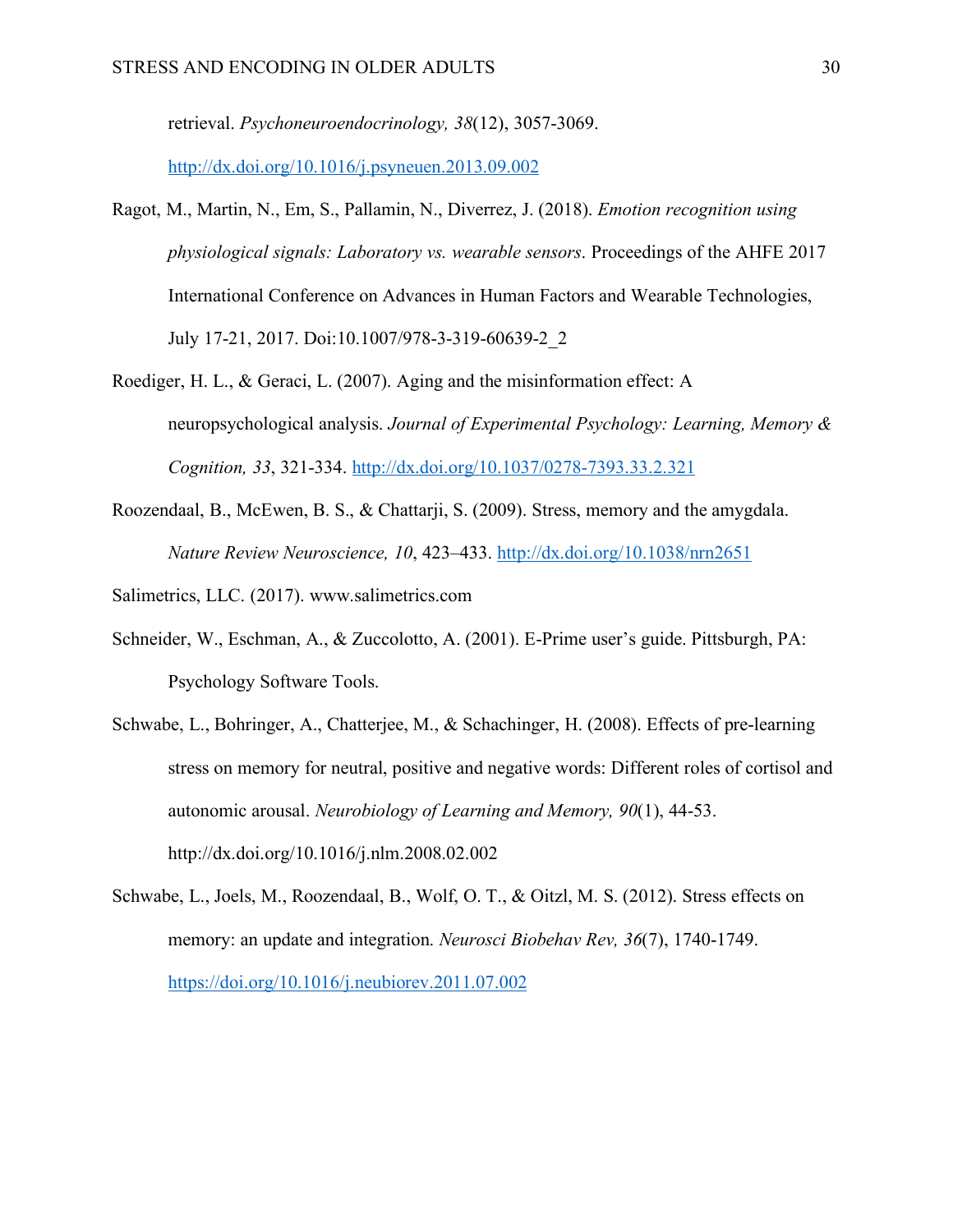retrieval. *Psychoneuroendocrinology, 38*(12), 3057-3069.

http://dx.doi.org/10.1016/j.psyneuen.2013.09.002

- Ragot, M., Martin, N., Em, S., Pallamin, N., Diverrez, J. (2018). *Emotion recognition using physiological signals: Laboratory vs. wearable sensors*. Proceedings of the AHFE 2017 International Conference on Advances in Human Factors and Wearable Technologies, July 17-21, 2017. Doi:10.1007/978-3-319-60639-2\_2
- Roediger, H. L., & Geraci, L. (2007). Aging and the misinformation effect: A neuropsychological analysis. *Journal of Experimental Psychology: Learning, Memory & Cognition, 33*, 321-334. http://dx.doi.org/10.1037/0278-7393.33.2.321
- Roozendaal, B., McEwen, B. S., & Chattarji, S. (2009). Stress, memory and the amygdala. *Nature Review Neuroscience, 10*, 423–433. http://dx.doi.org/10.1038/nrn2651
- Salimetrics, LLC. (2017). www.salimetrics.com
- Schneider, W., Eschman, A., & Zuccolotto, A. (2001). E-Prime user's guide. Pittsburgh, PA: Psychology Software Tools.
- Schwabe, L., Bohringer, A., Chatterjee, M., & Schachinger, H. (2008). Effects of pre-learning stress on memory for neutral, positive and negative words: Different roles of cortisol and autonomic arousal. *Neurobiology of Learning and Memory, 90*(1), 44-53. http://dx.doi.org/10.1016/j.nlm.2008.02.002
- Schwabe, L., Joels, M., Roozendaal, B., Wolf, O. T., & Oitzl, M. S. (2012). Stress effects on memory: an update and integration. *Neurosci Biobehav Rev, 36*(7), 1740-1749. https://doi.org/10.1016/j.neubiorev.2011.07.002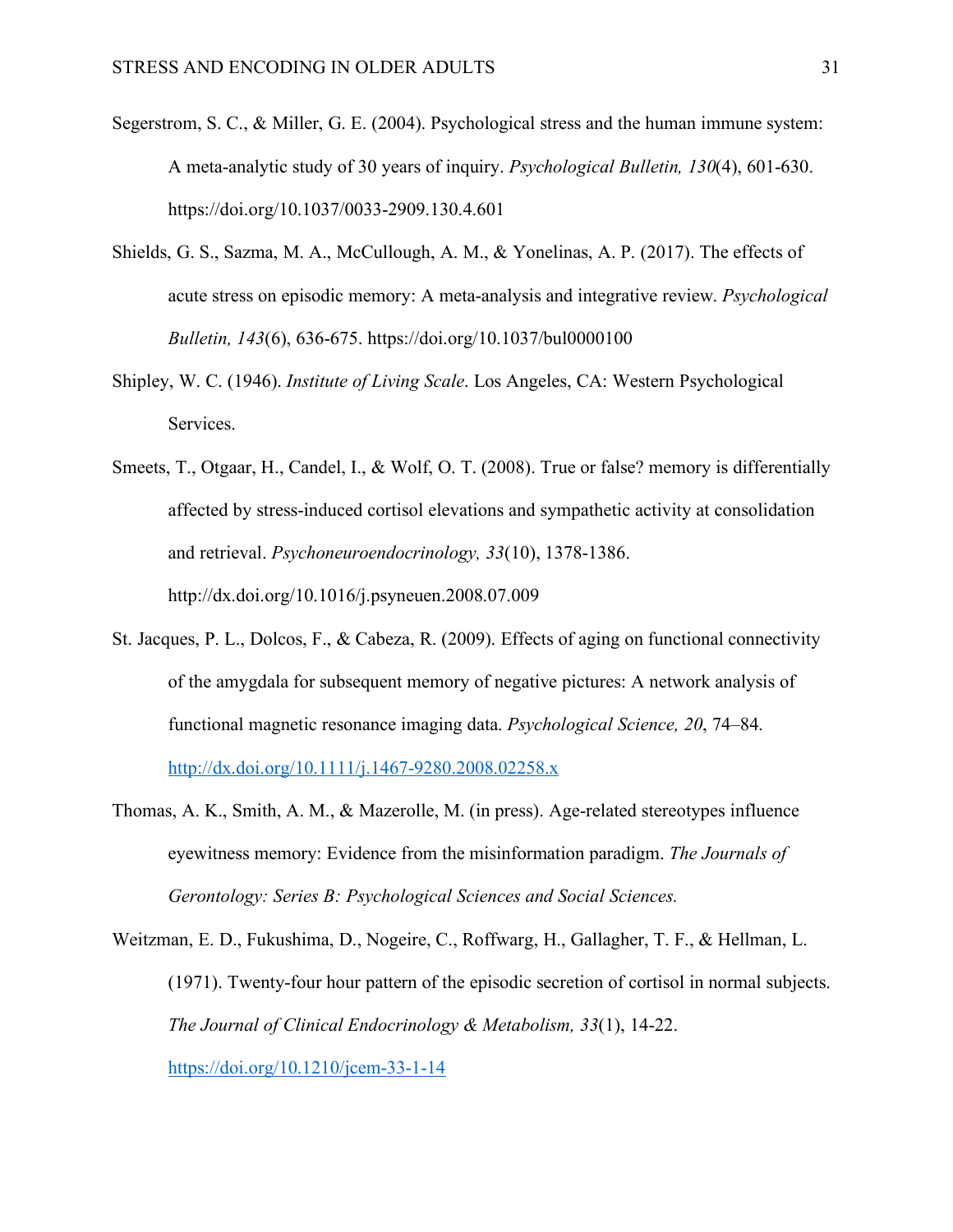- Segerstrom, S. C., & Miller, G. E. (2004). Psychological stress and the human immune system: A meta-analytic study of 30 years of inquiry. *Psychological Bulletin, 130*(4), 601-630. https://doi.org/10.1037/0033-2909.130.4.601
- Shields, G. S., Sazma, M. A., McCullough, A. M., & Yonelinas, A. P. (2017). The effects of acute stress on episodic memory: A meta-analysis and integrative review. *Psychological Bulletin, 143*(6), 636-675. https://doi.org/10.1037/bul0000100
- Shipley, W. C. (1946). *Institute of Living Scale*. Los Angeles, CA: Western Psychological Services.
- Smeets, T., Otgaar, H., Candel, I., & Wolf, O. T. (2008). True or false? memory is differentially affected by stress-induced cortisol elevations and sympathetic activity at consolidation and retrieval. *Psychoneuroendocrinology, 33*(10), 1378-1386. http://dx.doi.org/10.1016/j.psyneuen.2008.07.009
- St. Jacques, P. L., Dolcos, F., & Cabeza, R. (2009). Effects of aging on functional connectivity of the amygdala for subsequent memory of negative pictures: A network analysis of functional magnetic resonance imaging data. *Psychological Science, 20*, 74–84. http://dx.doi.org/10.1111/j.1467-9280.2008.02258.x
- Thomas, A. K., Smith, A. M., & Mazerolle, M. (in press). Age-related stereotypes influence eyewitness memory: Evidence from the misinformation paradigm. *The Journals of Gerontology: Series B: Psychological Sciences and Social Sciences.*

Weitzman, E. D., Fukushima, D., Nogeire, C., Roffwarg, H., Gallagher, T. F., & Hellman, L. (1971). Twenty-four hour pattern of the episodic secretion of cortisol in normal subjects. *The Journal of Clinical Endocrinology & Metabolism, 33*(1), 14-22. https://doi.org/10.1210/jcem-33-1-14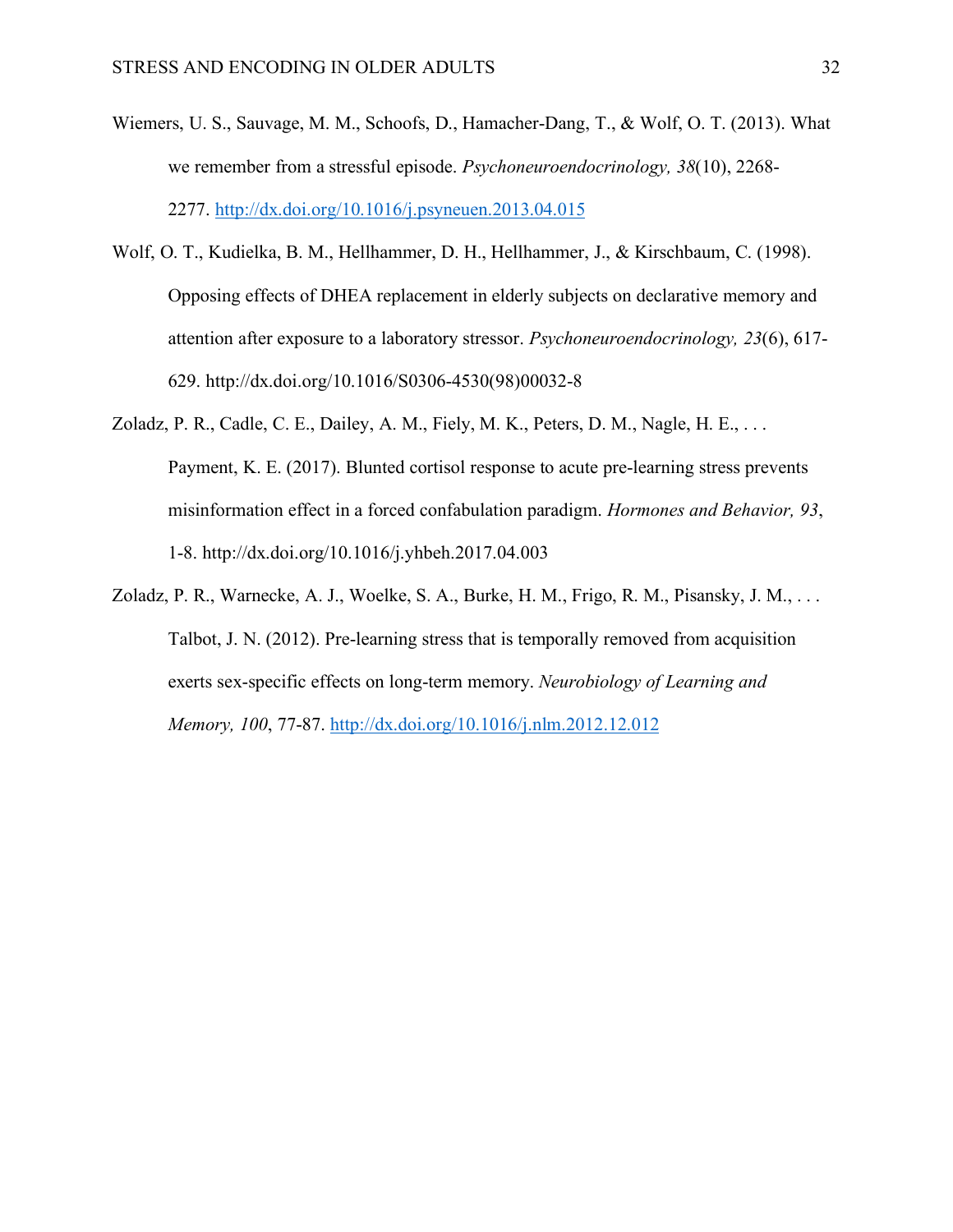- Wiemers, U. S., Sauvage, M. M., Schoofs, D., Hamacher-Dang, T., & Wolf, O. T. (2013). What we remember from a stressful episode. *Psychoneuroendocrinology, 38*(10), 2268- 2277. http://dx.doi.org/10.1016/j.psyneuen.2013.04.015
- Wolf, O. T., Kudielka, B. M., Hellhammer, D. H., Hellhammer, J., & Kirschbaum, C. (1998). Opposing effects of DHEA replacement in elderly subjects on declarative memory and attention after exposure to a laboratory stressor. *Psychoneuroendocrinology, 23*(6), 617- 629. http://dx.doi.org/10.1016/S0306-4530(98)00032-8
- Zoladz, P. R., Cadle, C. E., Dailey, A. M., Fiely, M. K., Peters, D. M., Nagle, H. E., ... Payment, K. E. (2017). Blunted cortisol response to acute pre-learning stress prevents misinformation effect in a forced confabulation paradigm. *Hormones and Behavior, 93*, 1-8. http://dx.doi.org/10.1016/j.yhbeh.2017.04.003
- Zoladz, P. R., Warnecke, A. J., Woelke, S. A., Burke, H. M., Frigo, R. M., Pisansky, J. M., . . . Talbot, J. N. (2012). Pre-learning stress that is temporally removed from acquisition exerts sex-specific effects on long-term memory. *Neurobiology of Learning and Memory, 100*, 77-87. http://dx.doi.org/10.1016/j.nlm.2012.12.012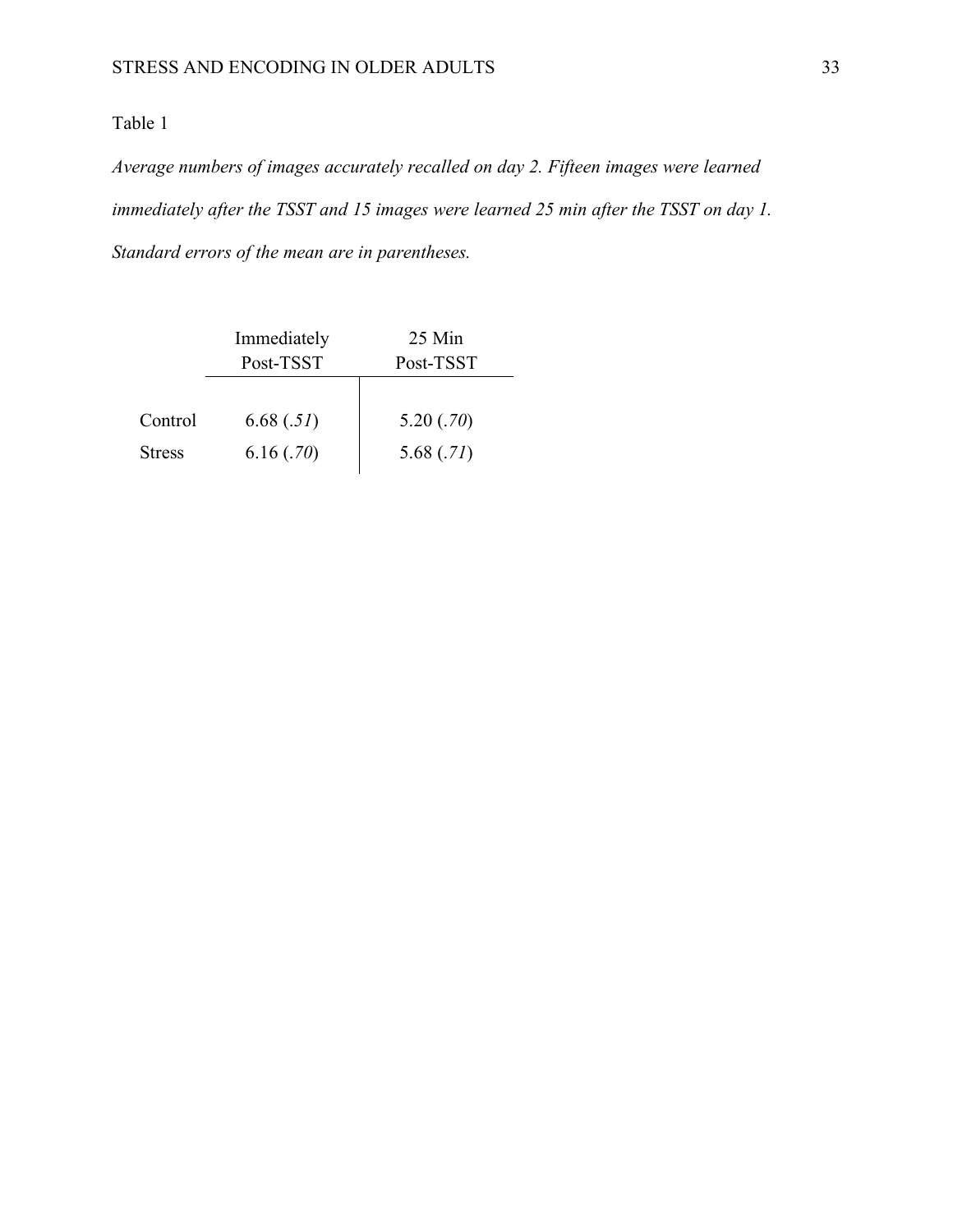# Table 1

*Average numbers of images accurately recalled on day 2. Fifteen images were learned immediately after the TSST and 15 images were learned 25 min after the TSST on day 1. Standard errors of the mean are in parentheses.*

|               | Immediately | 25 Min    |  |  |
|---------------|-------------|-----------|--|--|
|               | Post-TSST   | Post-TSST |  |  |
|               |             |           |  |  |
| Control       | 6.68(.51)   | 5.20(.70) |  |  |
| <b>Stress</b> | 6.16(.70)   | 5.68(.71) |  |  |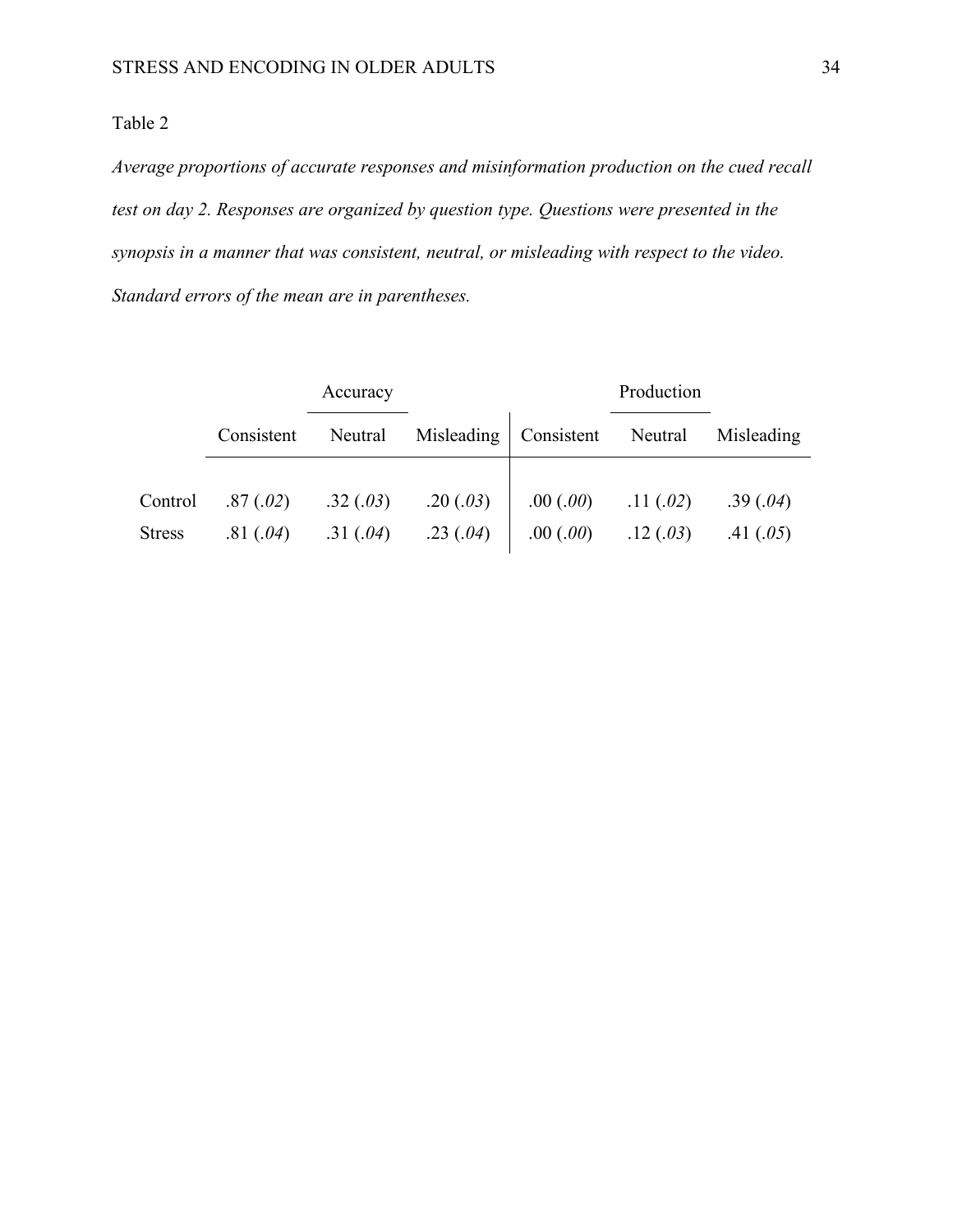## Table 2

*Average proportions of accurate responses and misinformation production on the cued recall test on day 2. Responses are organized by question type. Questions were presented in the synopsis in a manner that was consistent, neutral, or misleading with respect to the video. Standard errors of the mean are in parentheses.*

|               | Accuracy   |          |                                                  | Production |                       |             |
|---------------|------------|----------|--------------------------------------------------|------------|-----------------------|-------------|
|               | Consistent |          | Neutral Misleading Consistent Neutral Misleading |            |                       |             |
|               |            |          |                                                  |            |                       |             |
| Control       | .87(.02)   | .32(.03) | .20(.03)                                         |            | $.00(.00)$ $.11(.02)$ | .39(.04)    |
| <b>Stress</b> | .81(.04)   |          | .31 (.04) .23 (.04) .00 (.00) .12 (.03)          |            |                       | .41 $(.05)$ |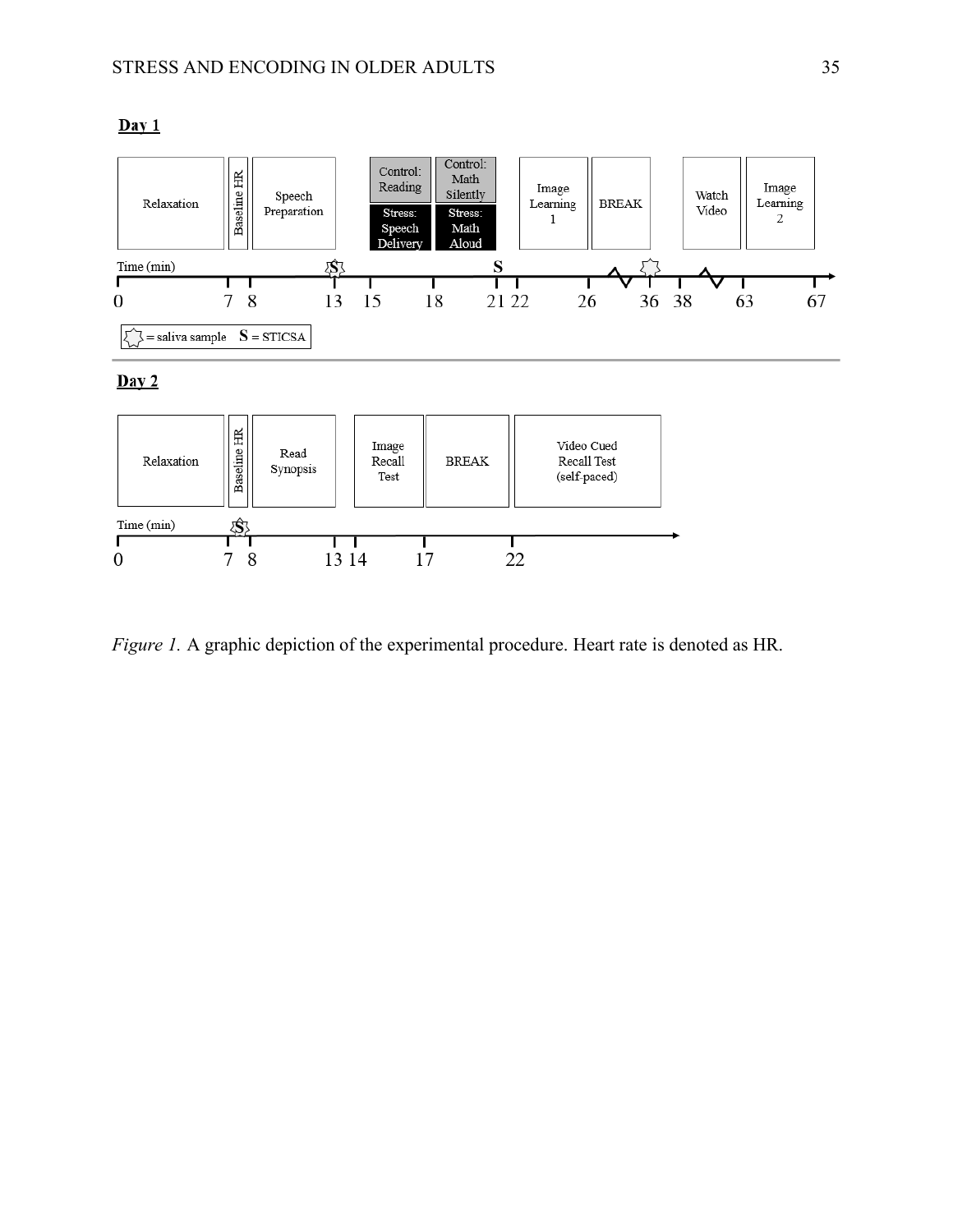

*Figure 1.* A graphic depiction of the experimental procedure. Heart rate is denoted as HR.

## $Day 1$